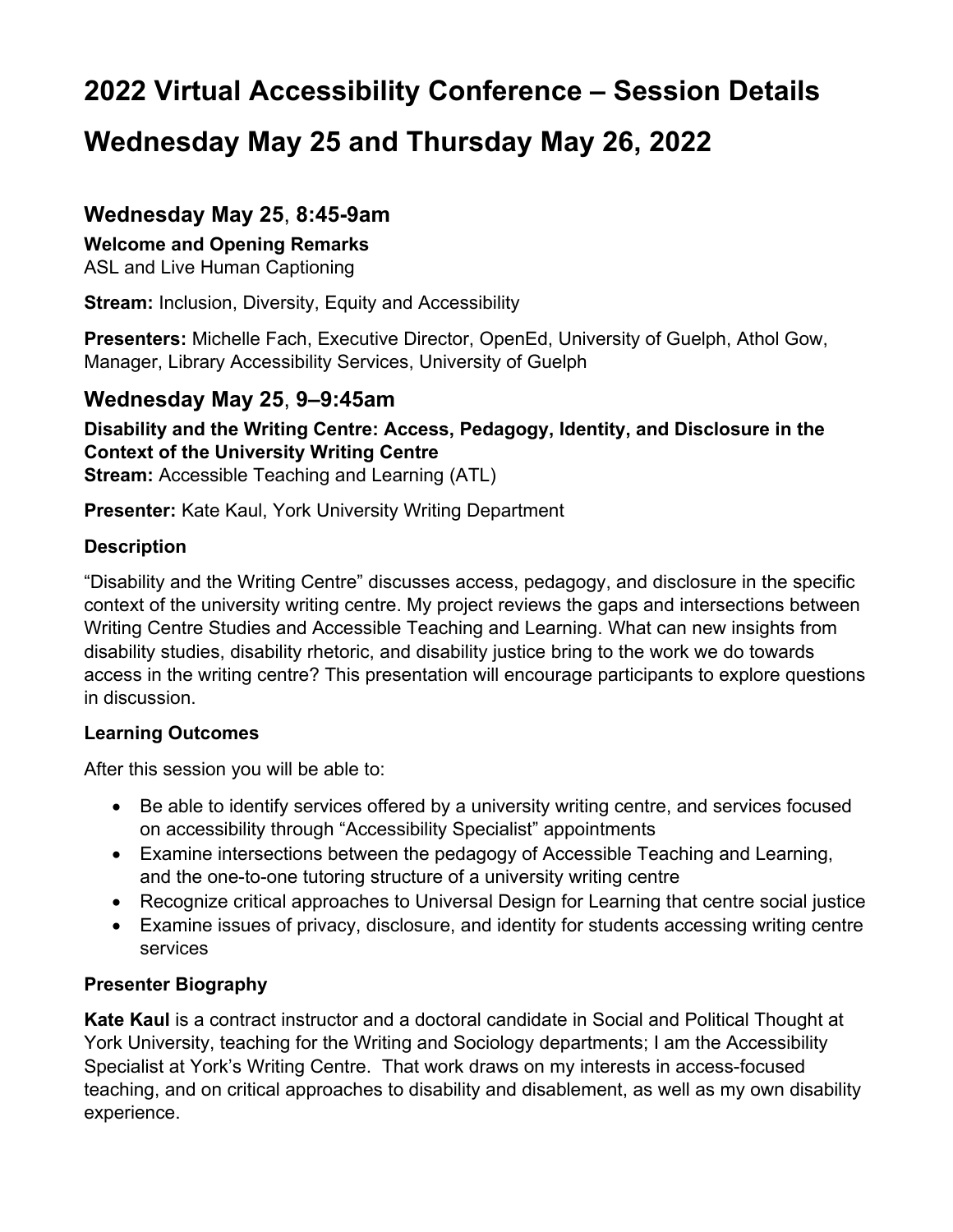# **2022 Virtual Accessibility Conference – Session Details**

# **Wednesday May 25 and Thursday May 26, 2022**

### **Wednesday May 25**, **8:45-9am**

#### **Welcome and Opening Remarks**

ASL and Live Human Captioning

**Stream:** Inclusion, Diversity, Equity and Accessibility

**Presenters:** Michelle Fach, Executive Director, OpenEd, University of Guelph, Athol Gow, Manager, Library Accessibility Services, University of Guelph

#### **Wednesday May 25**, **9–9:45am**

#### **Disability and the Writing Centre: Access, Pedagogy, Identity, and Disclosure in the Context of the University Writing Centre**

**Stream:** Accessible Teaching and Learning (ATL)

**Presenter:** Kate Kaul, York University Writing Department

#### **Description**

"Disability and the Writing Centre" discusses access, pedagogy, and disclosure in the specific context of the university writing centre. My project reviews the gaps and intersections between Writing Centre Studies and Accessible Teaching and Learning. What can new insights from disability studies, disability rhetoric, and disability justice bring to the work we do towards access in the writing centre? This presentation will encourage participants to explore questions in discussion.

#### **Learning Outcomes**

After this session you will be able to:

- Be able to identify services offered by a university writing centre, and services focused on accessibility through "Accessibility Specialist" appointments
- Examine intersections between the pedagogy of Accessible Teaching and Learning, and the one-to-one tutoring structure of a university writing centre
- Recognize critical approaches to Universal Design for Learning that centre social justice
- Examine issues of privacy, disclosure, and identity for students accessing writing centre services

#### **Presenter Biography**

**Kate Kaul** is a contract instructor and a doctoral candidate in Social and Political Thought at York University, teaching for the Writing and Sociology departments; I am the Accessibility Specialist at York's Writing Centre. That work draws on my interests in access-focused teaching, and on critical approaches to disability and disablement, as well as my own disability experience.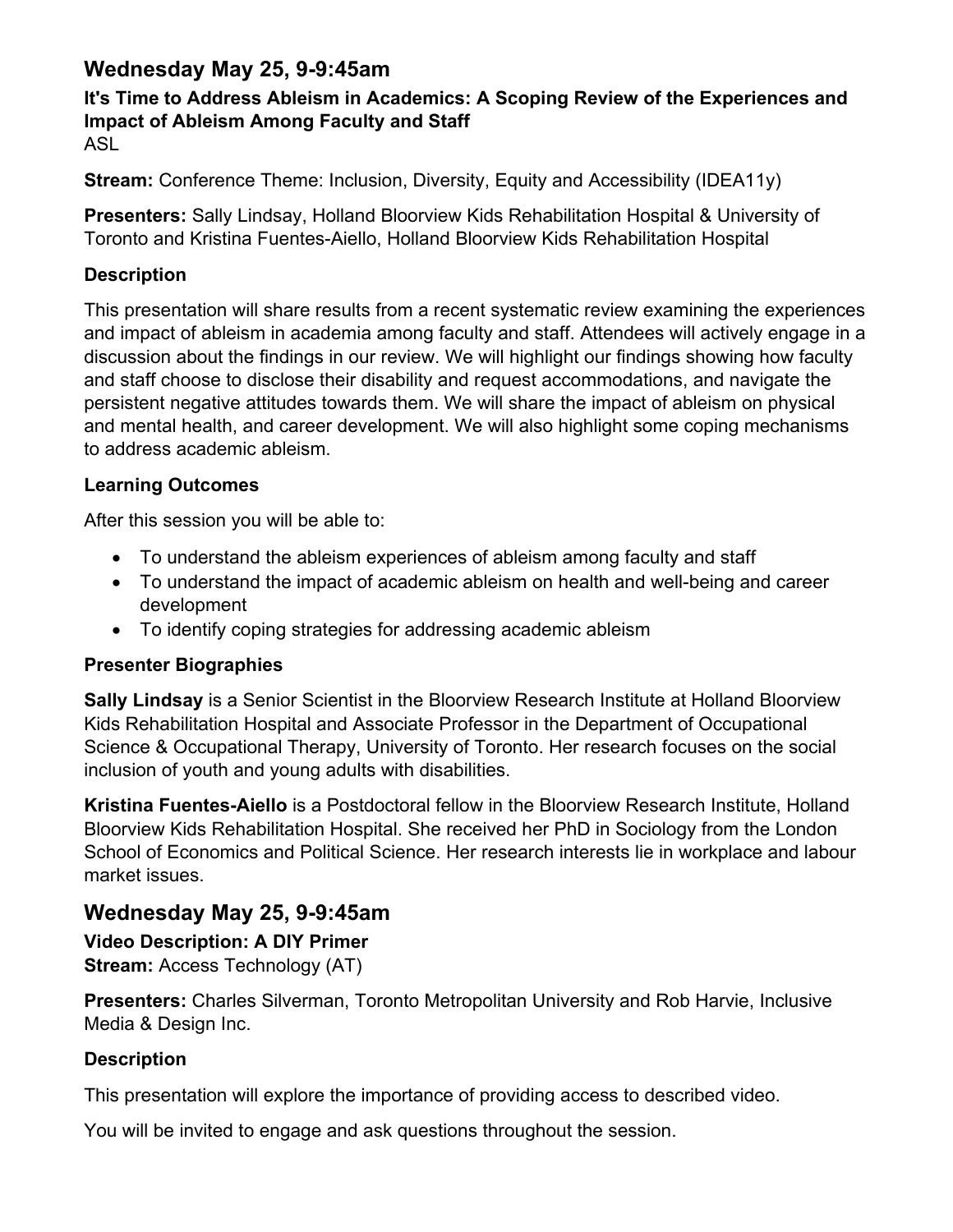### **Wednesday May 25, 9-9:45am**

#### **It's Time to Address Ableism in Academics: A Scoping Review of the Experiences and Impact of Ableism Among Faculty and Staff** ASL

**Stream:** Conference Theme: Inclusion, Diversity, Equity and Accessibility (IDEA11y)

**Presenters:** Sally Lindsay, Holland Bloorview Kids Rehabilitation Hospital & University of Toronto and Kristina Fuentes-Aiello, Holland Bloorview Kids Rehabilitation Hospital

#### **Description**

This presentation will share results from a recent systematic review examining the experiences and impact of ableism in academia among faculty and staff. Attendees will actively engage in a discussion about the findings in our review. We will highlight our findings showing how faculty and staff choose to disclose their disability and request accommodations, and navigate the persistent negative attitudes towards them. We will share the impact of ableism on physical and mental health, and career development. We will also highlight some coping mechanisms to address academic ableism.

#### **Learning Outcomes**

After this session you will be able to:

- To understand the ableism experiences of ableism among faculty and staff
- To understand the impact of academic ableism on health and well-being and career development
- To identify coping strategies for addressing academic ableism

#### **Presenter Biographies**

**Sally Lindsay** is a Senior Scientist in the Bloorview Research Institute at Holland Bloorview Kids Rehabilitation Hospital and Associate Professor in the Department of Occupational Science & Occupational Therapy, University of Toronto. Her research focuses on the social inclusion of youth and young adults with disabilities.

**Kristina Fuentes-Aiello** is a Postdoctoral fellow in the Bloorview Research Institute, Holland Bloorview Kids Rehabilitation Hospital. She received her PhD in Sociology from the London School of Economics and Political Science. Her research interests lie in workplace and labour market issues.

## **Wednesday May 25, 9-9:45am**

**Video Description: A DIY Primer Stream:** Access Technology (AT)

**Presenters:** Charles Silverman, Toronto Metropolitan University and Rob Harvie, Inclusive Media & Design Inc.

### **Description**

This presentation will explore the importance of providing access to described video.

You will be invited to engage and ask questions throughout the session.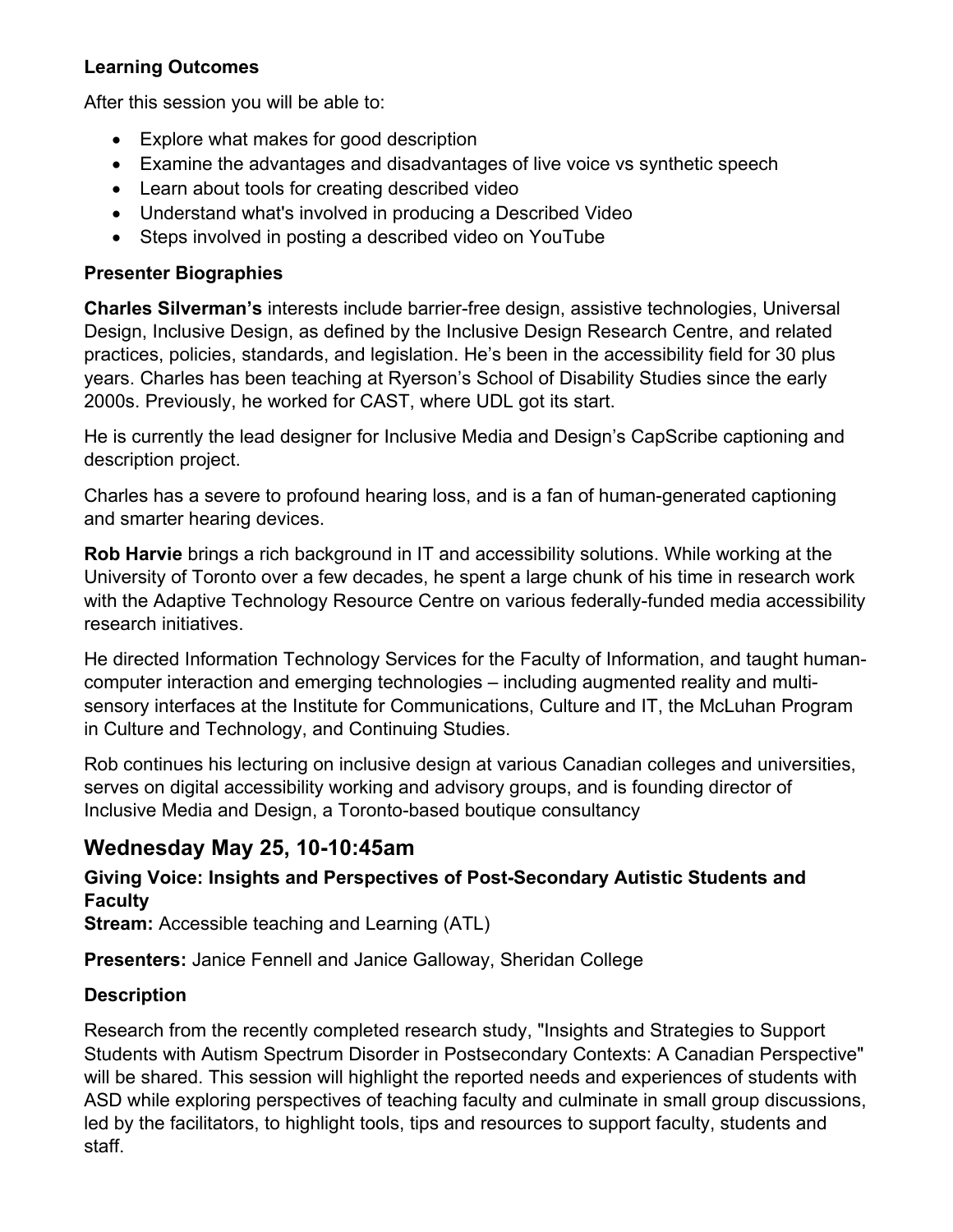#### **Learning Outcomes**

After this session you will be able to:

- Explore what makes for good description
- Examine the advantages and disadvantages of live voice vs synthetic speech
- Learn about tools for creating described video
- Understand what's involved in producing a Described Video
- Steps involved in posting a described video on YouTube

#### **Presenter Biographies**

**Charles Silverman's** interests include barrier-free design, assistive technologies, Universal Design, Inclusive Design, as defined by the Inclusive Design Research Centre, and related practices, policies, standards, and legislation. He's been in the accessibility field for 30 plus years. Charles has been teaching at Ryerson's School of Disability Studies since the early 2000s. Previously, he worked for CAST, where UDL got its start.

He is currently the lead designer for Inclusive Media and Design's CapScribe captioning and description project.

Charles has a severe to profound hearing loss, and is a fan of human-generated captioning and smarter hearing devices.

**Rob Harvie** brings a rich background in IT and accessibility solutions. While working at the University of Toronto over a few decades, he spent a large chunk of his time in research work with the Adaptive Technology Resource Centre on various federally-funded media accessibility research initiatives.

He directed Information Technology Services for the Faculty of Information, and taught humancomputer interaction and emerging technologies – including augmented reality and multisensory interfaces at the Institute for Communications, Culture and IT, the McLuhan Program in Culture and Technology, and Continuing Studies.

Rob continues his lecturing on inclusive design at various Canadian colleges and universities, serves on digital accessibility working and advisory groups, and is founding director of Inclusive Media and Design, a Toronto-based boutique consultancy

### **Wednesday May 25, 10-10:45am**

**Giving Voice: Insights and Perspectives of Post-Secondary Autistic Students and Faculty**

**Stream:** Accessible teaching and Learning (ATL)

**Presenters:** Janice Fennell and Janice Galloway, Sheridan College

#### **Description**

Research from the recently completed research study, "Insights and Strategies to Support Students with Autism Spectrum Disorder in Postsecondary Contexts: A Canadian Perspective" will be shared. This session will highlight the reported needs and experiences of students with ASD while exploring perspectives of teaching faculty and culminate in small group discussions, led by the facilitators, to highlight tools, tips and resources to support faculty, students and staff.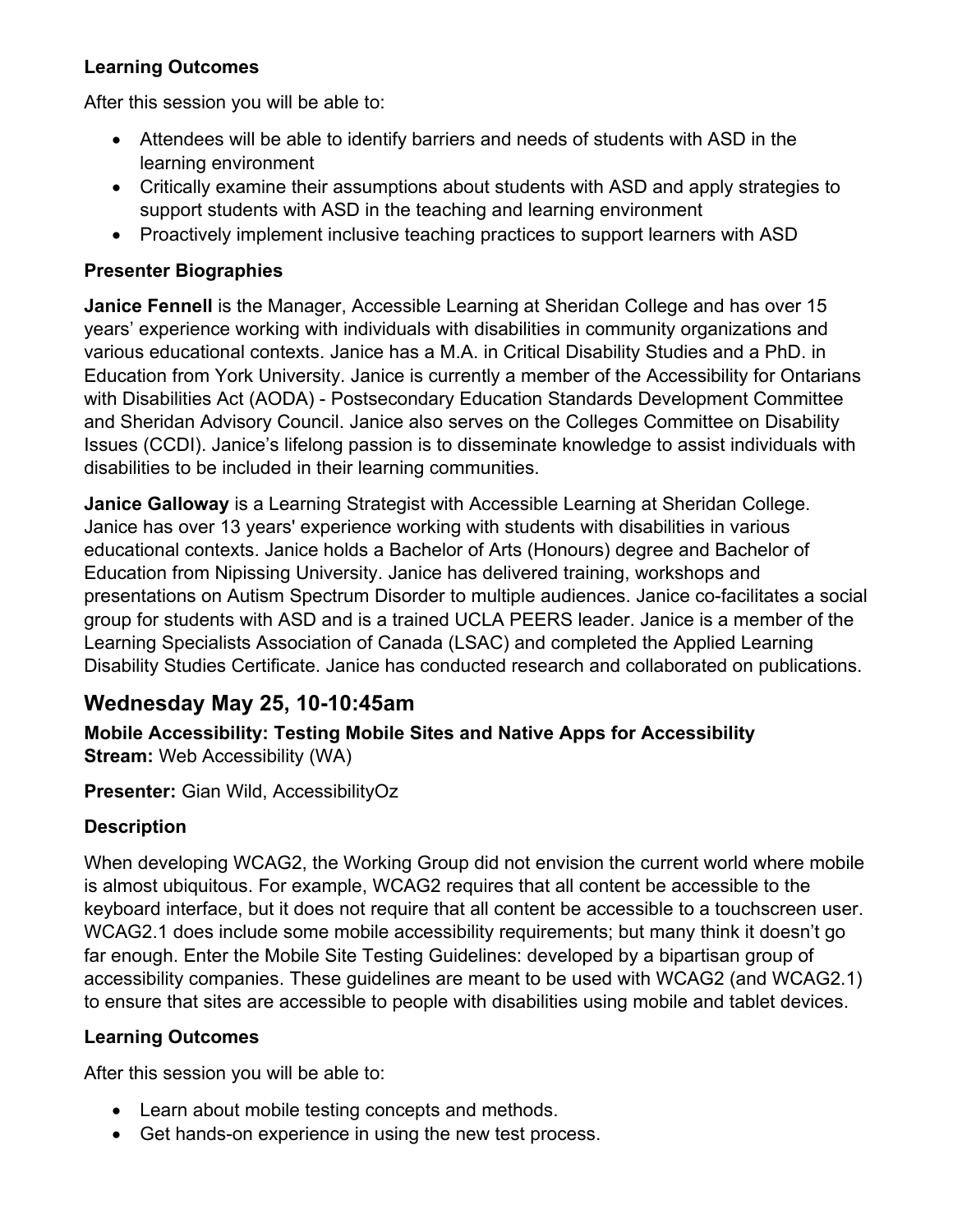#### **Learning Outcomes**

After this session you will be able to:

- Attendees will be able to identify barriers and needs of students with ASD in the learning environment
- Critically examine their assumptions about students with ASD and apply strategies to support students with ASD in the teaching and learning environment
- Proactively implement inclusive teaching practices to support learners with ASD

#### **Presenter Biographies**

**Janice Fennell** is the Manager, Accessible Learning at Sheridan College and has over 15 years' experience working with individuals with disabilities in community organizations and various educational contexts. Janice has a M.A. in Critical Disability Studies and a PhD. in Education from York University. Janice is currently a member of the Accessibility for Ontarians with Disabilities Act (AODA) - Postsecondary Education Standards Development Committee and Sheridan Advisory Council. Janice also serves on the Colleges Committee on Disability Issues (CCDI). Janice's lifelong passion is to disseminate knowledge to assist individuals with disabilities to be included in their learning communities.

**Janice Galloway** is a Learning Strategist with Accessible Learning at Sheridan College. Janice has over 13 years' experience working with students with disabilities in various educational contexts. Janice holds a Bachelor of Arts (Honours) degree and Bachelor of Education from Nipissing University. Janice has delivered training, workshops and presentations on Autism Spectrum Disorder to multiple audiences. Janice co-facilitates a social group for students with ASD and is a trained UCLA PEERS leader. Janice is a member of the Learning Specialists Association of Canada (LSAC) and completed the Applied Learning Disability Studies Certificate. Janice has conducted research and collaborated on publications.

## **Wednesday May 25, 10-10:45am**

**Mobile Accessibility: Testing Mobile Sites and Native Apps for Accessibility Stream:** Web Accessibility (WA)

**Presenter:** Gian Wild, AccessibilityOz

### **Description**

When developing WCAG2, the Working Group did not envision the current world where mobile is almost ubiquitous. For example, WCAG2 requires that all content be accessible to the keyboard interface, but it does not require that all content be accessible to a touchscreen user. WCAG2.1 does include some mobile accessibility requirements; but many think it doesn't go far enough. Enter the Mobile Site Testing Guidelines: developed by a bipartisan group of accessibility companies. These guidelines are meant to be used with WCAG2 (and WCAG2.1) to ensure that sites are accessible to people with disabilities using mobile and tablet devices.

#### **Learning Outcomes**

After this session you will be able to:

- Learn about mobile testing concepts and methods.
- Get hands-on experience in using the new test process.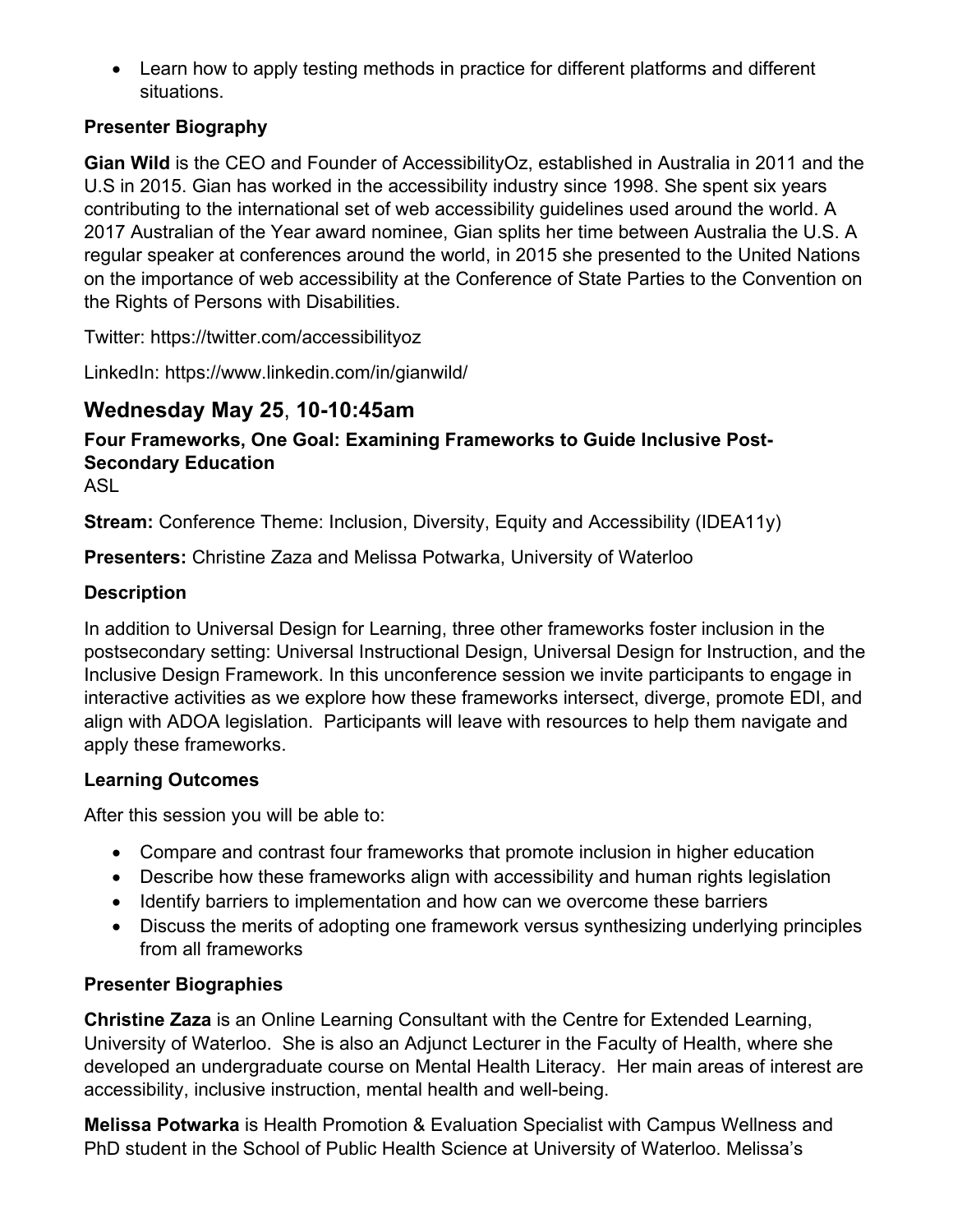• Learn how to apply testing methods in practice for different platforms and different situations.

#### **Presenter Biography**

**Gian Wild** is the CEO and Founder of AccessibilityOz, established in Australia in 2011 and the U.S in 2015. Gian has worked in the accessibility industry since 1998. She spent six years contributing to the international set of web accessibility guidelines used around the world. A 2017 Australian of the Year award nominee, Gian splits her time between Australia the U.S. A regular speaker at conferences around the world, in 2015 she presented to the United Nations on the importance of web accessibility at the Conference of State Parties to the Convention on the Rights of Persons with Disabilities.

Twitter: https://twitter.com/accessibilityoz

LinkedIn: https://www.linkedin.com/in/gianwild/

### **Wednesday May 25**, **10-10:45am**

## **Four Frameworks, One Goal: Examining Frameworks to Guide Inclusive Post-Secondary Education**

ASL

**Stream:** Conference Theme: Inclusion, Diversity, Equity and Accessibility (IDEA11y)

**Presenters:** Christine Zaza and Melissa Potwarka, University of Waterloo

#### **Description**

In addition to Universal Design for Learning, three other frameworks foster inclusion in the postsecondary setting: Universal Instructional Design, Universal Design for Instruction, and the Inclusive Design Framework. In this unconference session we invite participants to engage in interactive activities as we explore how these frameworks intersect, diverge, promote EDI, and align with ADOA legislation. Participants will leave with resources to help them navigate and apply these frameworks.

#### **Learning Outcomes**

After this session you will be able to:

- Compare and contrast four frameworks that promote inclusion in higher education
- Describe how these frameworks align with accessibility and human rights legislation
- Identify barriers to implementation and how can we overcome these barriers
- Discuss the merits of adopting one framework versus synthesizing underlying principles from all frameworks

### **Presenter Biographies**

**Christine Zaza** is an Online Learning Consultant with the Centre for Extended Learning, University of Waterloo. She is also an Adjunct Lecturer in the Faculty of Health, where she developed an undergraduate course on Mental Health Literacy. Her main areas of interest are accessibility, inclusive instruction, mental health and well-being.

**Melissa Potwarka** is Health Promotion & Evaluation Specialist with Campus Wellness and PhD student in the School of Public Health Science at University of Waterloo. Melissa's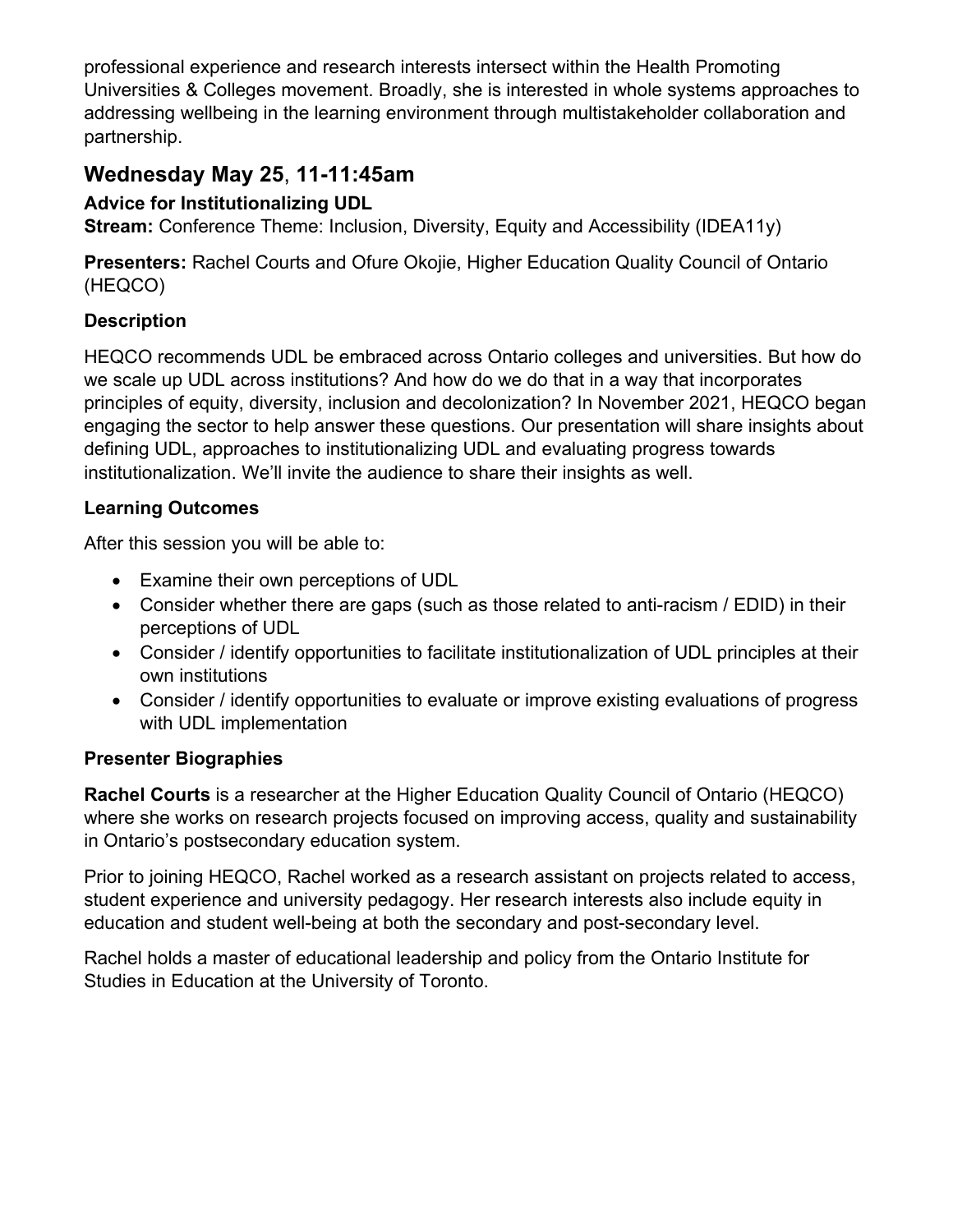professional experience and research interests intersect within the Health Promoting Universities & Colleges movement. Broadly, she is interested in whole systems approaches to addressing wellbeing in the learning environment through multistakeholder collaboration and partnership.

## **Wednesday May 25**, **11-11:45am**

### **Advice for Institutionalizing UDL**

**Stream:** Conference Theme: Inclusion, Diversity, Equity and Accessibility (IDEA11y)

**Presenters:** Rachel Courts and Ofure Okojie, Higher Education Quality Council of Ontario (HEQCO)

### **Description**

HEQCO recommends UDL be embraced across Ontario colleges and universities. But how do we scale up UDL across institutions? And how do we do that in a way that incorporates principles of equity, diversity, inclusion and decolonization? In November 2021, HEQCO began engaging the sector to help answer these questions. Our presentation will share insights about defining UDL, approaches to institutionalizing UDL and evaluating progress towards institutionalization. We'll invite the audience to share their insights as well.

#### **Learning Outcomes**

After this session you will be able to:

- Examine their own perceptions of UDL
- Consider whether there are gaps (such as those related to anti-racism / EDID) in their perceptions of UDL
- Consider / identify opportunities to facilitate institutionalization of UDL principles at their own institutions
- Consider / identify opportunities to evaluate or improve existing evaluations of progress with UDL implementation

#### **Presenter Biographies**

**Rachel Courts** is a researcher at the Higher Education Quality Council of Ontario (HEQCO) where she works on research projects focused on improving access, quality and sustainability in Ontario's postsecondary education system.

Prior to joining HEQCO, Rachel worked as a research assistant on projects related to access, student experience and university pedagogy. Her research interests also include equity in education and student well-being at both the secondary and post-secondary level.

Rachel holds a master of educational leadership and policy from the Ontario Institute for Studies in Education at the University of Toronto.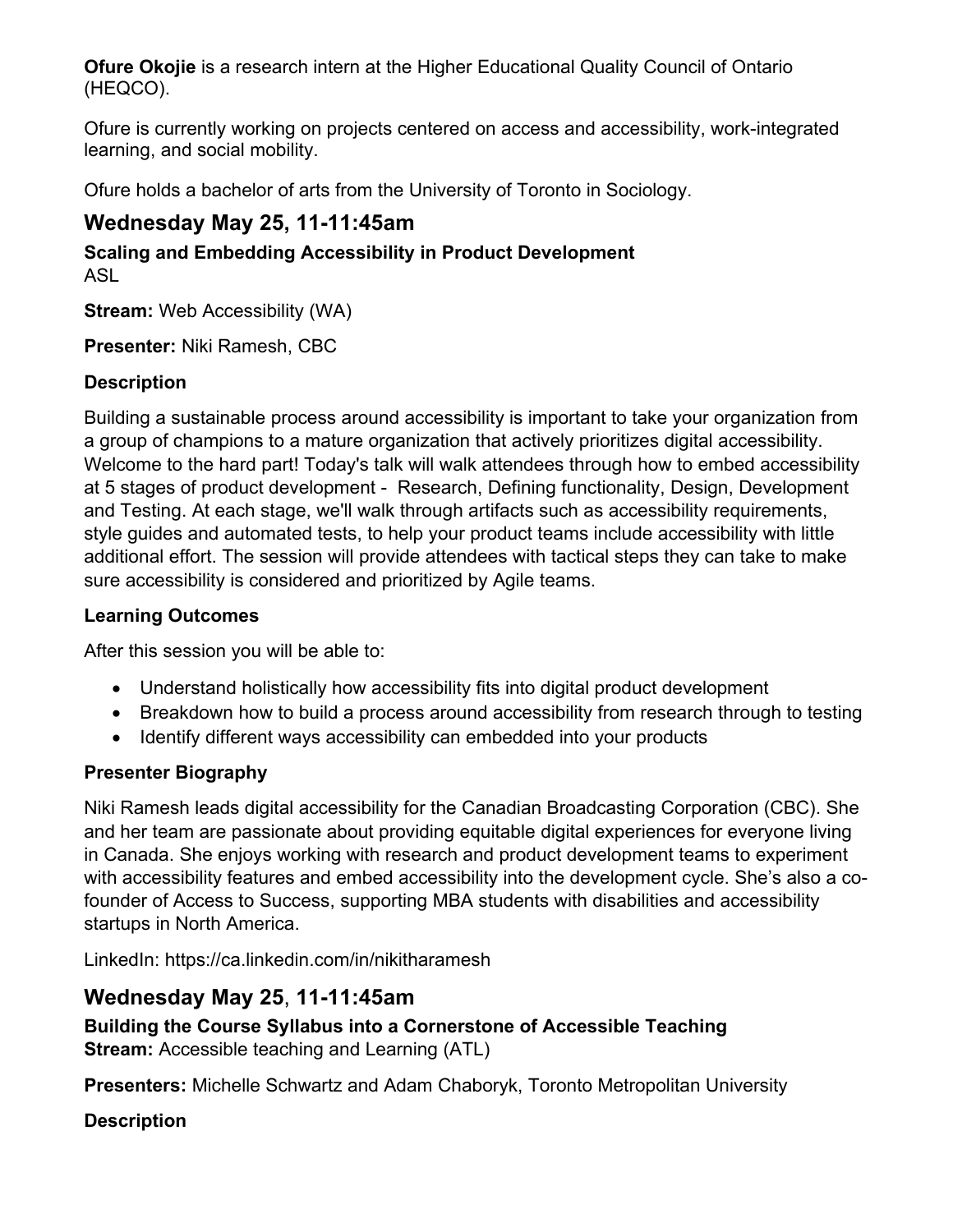**Ofure Okojie** is a research intern at the Higher Educational Quality Council of Ontario (HEQCO).

Ofure is currently working on projects centered on access and accessibility, work-integrated learning, and social mobility.

Ofure holds a bachelor of arts from the University of Toronto in Sociology.

### **Wednesday May 25, 11-11:45am**

**Scaling and Embedding Accessibility in Product Development** ASL

**Stream:** Web Accessibility (WA)

**Presenter:** Niki Ramesh, CBC

### **Description**

Building a sustainable process around accessibility is important to take your organization from a group of champions to a mature organization that actively prioritizes digital accessibility. Welcome to the hard part! Today's talk will walk attendees through how to embed accessibility at 5 stages of product development - Research, Defining functionality, Design, Development and Testing. At each stage, we'll walk through artifacts such as accessibility requirements, style guides and automated tests, to help your product teams include accessibility with little additional effort. The session will provide attendees with tactical steps they can take to make sure accessibility is considered and prioritized by Agile teams.

#### **Learning Outcomes**

After this session you will be able to:

- Understand holistically how accessibility fits into digital product development
- Breakdown how to build a process around accessibility from research through to testing
- Identify different ways accessibility can embedded into your products

#### **Presenter Biography**

Niki Ramesh leads digital accessibility for the Canadian Broadcasting Corporation (CBC). She and her team are passionate about providing equitable digital experiences for everyone living in Canada. She enjoys working with research and product development teams to experiment with accessibility features and embed accessibility into the development cycle. She's also a cofounder of Access to Success, supporting MBA students with disabilities and accessibility startups in North America.

LinkedIn: https://ca.linkedin.com/in/nikitharamesh

### **Wednesday May 25**, **11-11:45am**

**Building the Course Syllabus into a Cornerstone of Accessible Teaching Stream:** Accessible teaching and Learning (ATL)

**Presenters:** Michelle Schwartz and Adam Chaboryk, Toronto Metropolitan University

#### **Description**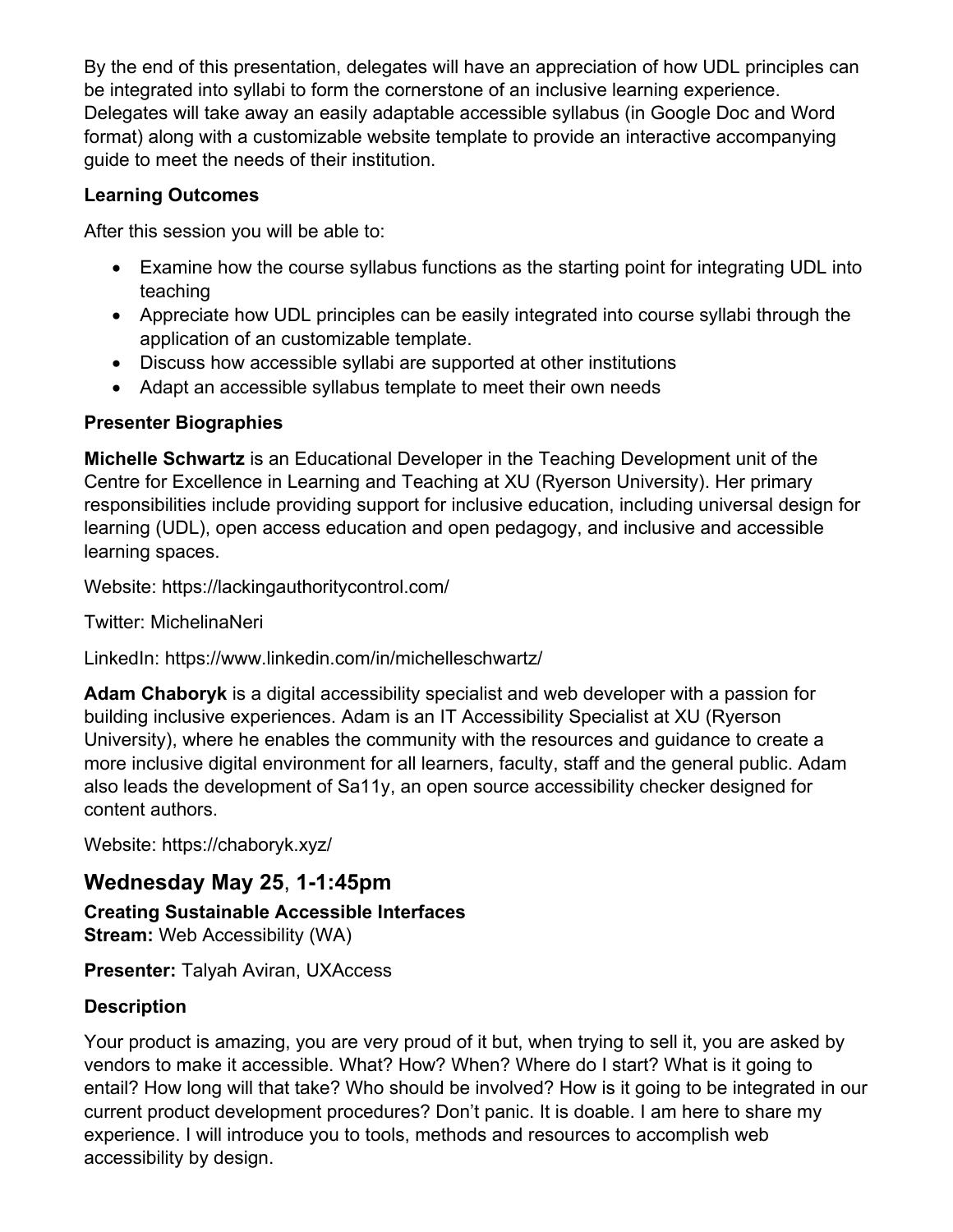By the end of this presentation, delegates will have an appreciation of how UDL principles can be integrated into syllabi to form the cornerstone of an inclusive learning experience. Delegates will take away an easily adaptable accessible syllabus (in Google Doc and Word format) along with a customizable website template to provide an interactive accompanying guide to meet the needs of their institution.

#### **Learning Outcomes**

After this session you will be able to:

- Examine how the course syllabus functions as the starting point for integrating UDL into teaching
- Appreciate how UDL principles can be easily integrated into course syllabi through the application of an customizable template.
- Discuss how accessible syllabi are supported at other institutions
- Adapt an accessible syllabus template to meet their own needs

#### **Presenter Biographies**

**Michelle Schwartz** is an Educational Developer in the Teaching Development unit of the Centre for Excellence in Learning and Teaching at XU (Ryerson University). Her primary responsibilities include providing support for inclusive education, including universal design for learning (UDL), open access education and open pedagogy, and inclusive and accessible learning spaces.

Website: https://lackingauthoritycontrol.com/

Twitter: MichelinaNeri

LinkedIn: https://www.linkedin.com/in/michelleschwartz/

**Adam Chaboryk** is a digital accessibility specialist and web developer with a passion for building inclusive experiences. Adam is an IT Accessibility Specialist at XU (Ryerson University), where he enables the community with the resources and guidance to create a more inclusive digital environment for all learners, faculty, staff and the general public. Adam also leads the development of Sa11y, an open source accessibility checker designed for content authors.

Website: https://chaboryk.xyz/

### **Wednesday May 25**, **1-1:45pm**

**Creating Sustainable Accessible Interfaces Stream:** Web Accessibility (WA)

**Presenter:** Talyah Aviran, UXAccess

#### **Description**

Your product is amazing, you are very proud of it but, when trying to sell it, you are asked by vendors to make it accessible. What? How? When? Where do I start? What is it going to entail? How long will that take? Who should be involved? How is it going to be integrated in our current product development procedures? Don't panic. It is doable. I am here to share my experience. I will introduce you to tools, methods and resources to accomplish web accessibility by design.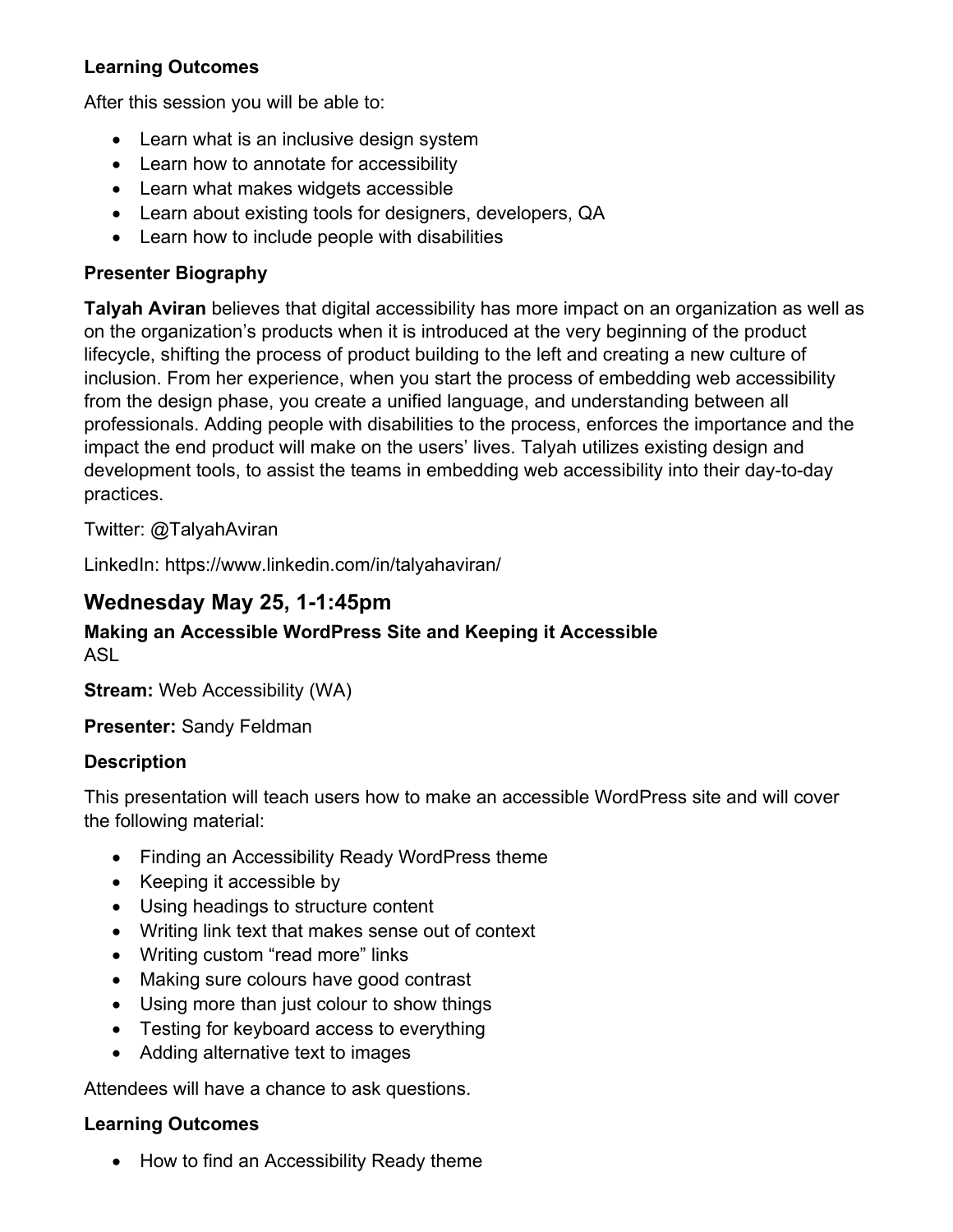#### **Learning Outcomes**

After this session you will be able to:

- Learn what is an inclusive design system
- Learn how to annotate for accessibility
- Learn what makes widgets accessible
- Learn about existing tools for designers, developers, QA
- Learn how to include people with disabilities

#### **Presenter Biography**

**Talyah Aviran** believes that digital accessibility has more impact on an organization as well as on the organization's products when it is introduced at the very beginning of the product lifecycle, shifting the process of product building to the left and creating a new culture of inclusion. From her experience, when you start the process of embedding web accessibility from the design phase, you create a unified language, and understanding between all professionals. Adding people with disabilities to the process, enforces the importance and the impact the end product will make on the users' lives. Talyah utilizes existing design and development tools, to assist the teams in embedding web accessibility into their day-to-day practices.

Twitter: @TalyahAviran

LinkedIn: https://www.linkedin.com/in/talyahaviran/

### **Wednesday May 25, 1-1:45pm**

#### **Making an Accessible WordPress Site and Keeping it Accessible** ASL

**Stream:** Web Accessibility (WA)

**Presenter:** Sandy Feldman

#### **Description**

This presentation will teach users how to make an accessible WordPress site and will cover the following material:

- Finding an Accessibility Ready WordPress theme
- Keeping it accessible by
- Using headings to structure content
- Writing link text that makes sense out of context
- Writing custom "read more" links
- Making sure colours have good contrast
- Using more than just colour to show things
- Testing for keyboard access to everything
- Adding alternative text to images

Attendees will have a chance to ask questions.

#### **Learning Outcomes**

• How to find an Accessibility Ready theme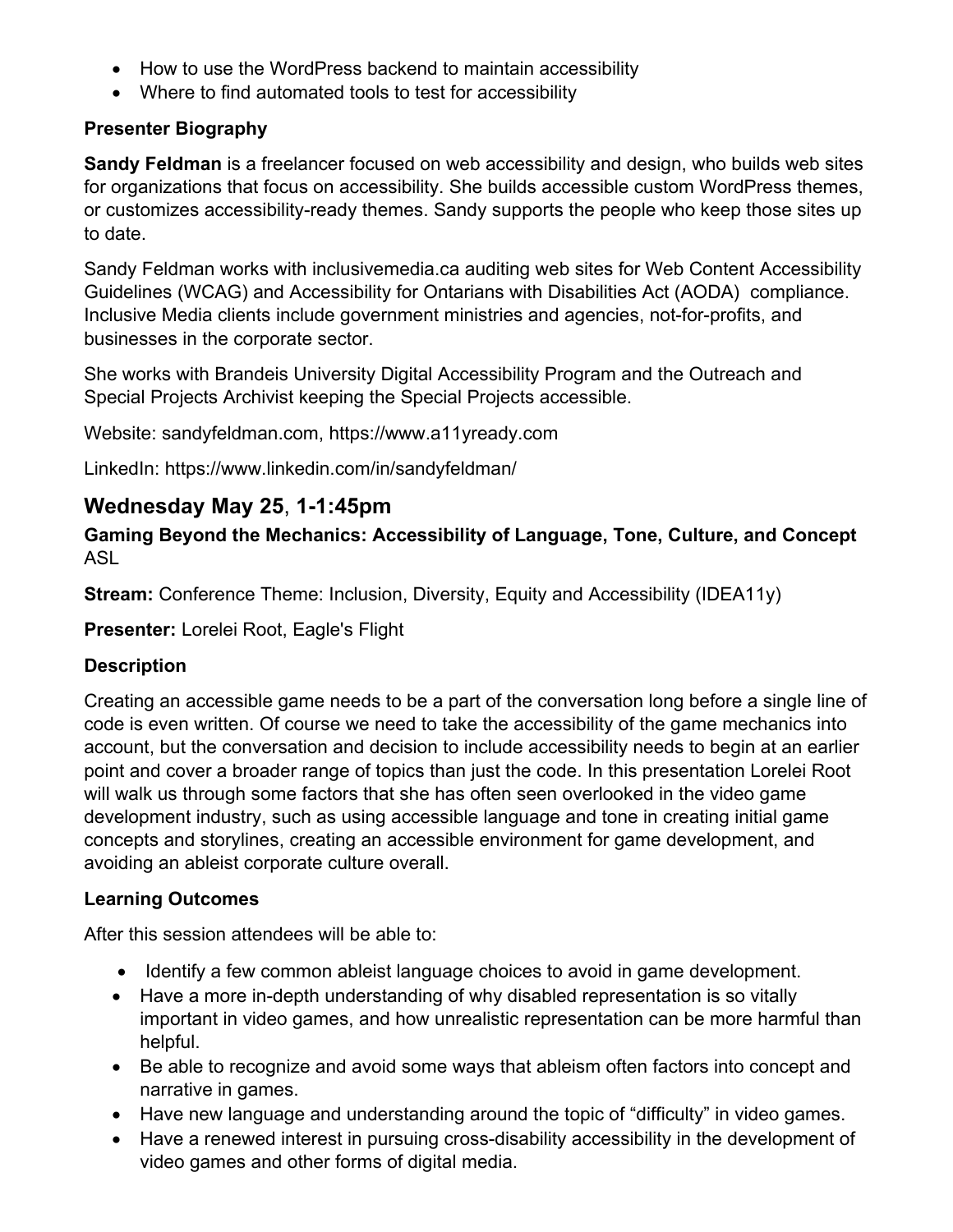- How to use the WordPress backend to maintain accessibility
- Where to find automated tools to test for accessibility

#### **Presenter Biography**

**Sandy Feldman** is a freelancer focused on web accessibility and design, who builds web sites for organizations that focus on accessibility. She builds accessible custom WordPress themes, or customizes accessibility-ready themes. Sandy supports the people who keep those sites up to date.

Sandy Feldman works with inclusivemedia.ca auditing web sites for Web Content Accessibility Guidelines (WCAG) and Accessibility for Ontarians with Disabilities Act (AODA) compliance. Inclusive Media clients include government ministries and agencies, not-for-profits, and businesses in the corporate sector.

She works with Brandeis University Digital Accessibility Program and the Outreach and Special Projects Archivist keeping the Special Projects accessible.

Website: sandyfeldman.com, https://www.a11yready.com

LinkedIn: https://www.linkedin.com/in/sandyfeldman/

### **Wednesday May 25**, **1-1:45pm**

**Gaming Beyond the Mechanics: Accessibility of Language, Tone, Culture, and Concept** ASL

**Stream:** Conference Theme: Inclusion, Diversity, Equity and Accessibility (IDEA11y)

**Presenter:** Lorelei Root, Eagle's Flight

#### **Description**

Creating an accessible game needs to be a part of the conversation long before a single line of code is even written. Of course we need to take the accessibility of the game mechanics into account, but the conversation and decision to include accessibility needs to begin at an earlier point and cover a broader range of topics than just the code. In this presentation Lorelei Root will walk us through some factors that she has often seen overlooked in the video game development industry, such as using accessible language and tone in creating initial game concepts and storylines, creating an accessible environment for game development, and avoiding an ableist corporate culture overall.

#### **Learning Outcomes**

After this session attendees will be able to:

- Identify a few common ableist language choices to avoid in game development.
- Have a more in-depth understanding of why disabled representation is so vitally important in video games, and how unrealistic representation can be more harmful than helpful.
- Be able to recognize and avoid some ways that ableism often factors into concept and narrative in games.
- Have new language and understanding around the topic of "difficulty" in video games.
- Have a renewed interest in pursuing cross-disability accessibility in the development of video games and other forms of digital media.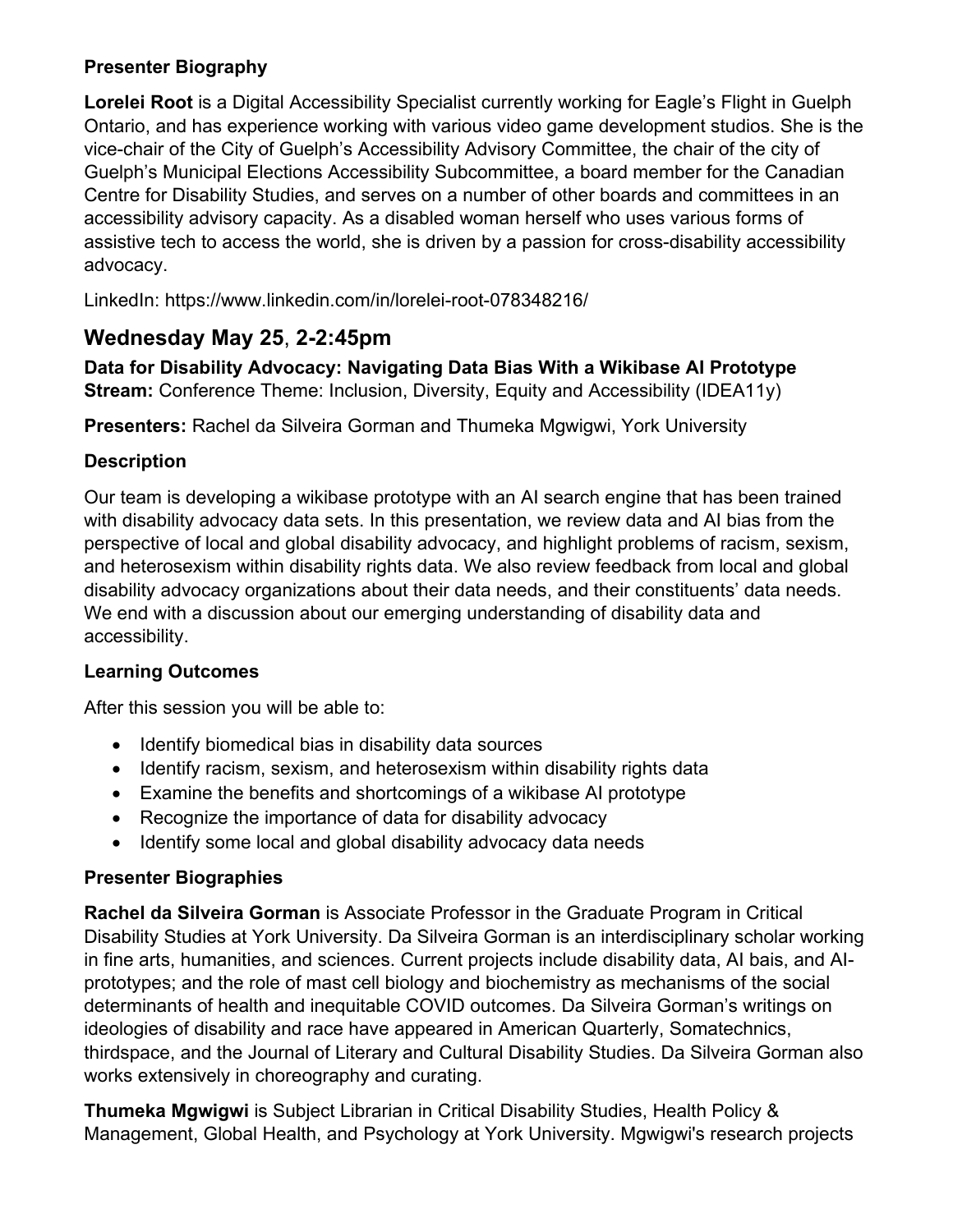#### **Presenter Biography**

**Lorelei Root** is a Digital Accessibility Specialist currently working for Eagle's Flight in Guelph Ontario, and has experience working with various video game development studios. She is the vice-chair of the City of Guelph's Accessibility Advisory Committee, the chair of the city of Guelph's Municipal Elections Accessibility Subcommittee, a board member for the Canadian Centre for Disability Studies, and serves on a number of other boards and committees in an accessibility advisory capacity. As a disabled woman herself who uses various forms of assistive tech to access the world, she is driven by a passion for cross-disability accessibility advocacy.

LinkedIn: https://www.linkedin.com/in/lorelei-root-078348216/

### **Wednesday May 25**, **2-2:45pm**

**Data for Disability Advocacy: Navigating Data Bias With a Wikibase AI Prototype Stream:** Conference Theme: Inclusion, Diversity, Equity and Accessibility (IDEA11y)

**Presenters:** Rachel da Silveira Gorman and Thumeka Mgwigwi, York University

#### **Description**

Our team is developing a wikibase prototype with an AI search engine that has been trained with disability advocacy data sets. In this presentation, we review data and AI bias from the perspective of local and global disability advocacy, and highlight problems of racism, sexism, and heterosexism within disability rights data. We also review feedback from local and global disability advocacy organizations about their data needs, and their constituents' data needs. We end with a discussion about our emerging understanding of disability data and accessibility.

#### **Learning Outcomes**

After this session you will be able to:

- Identify biomedical bias in disability data sources
- Identify racism, sexism, and heterosexism within disability rights data
- Examine the benefits and shortcomings of a wikibase AI prototype
- Recognize the importance of data for disability advocacy
- Identify some local and global disability advocacy data needs

#### **Presenter Biographies**

**Rachel da Silveira Gorman** is Associate Professor in the Graduate Program in Critical Disability Studies at York University. Da Silveira Gorman is an interdisciplinary scholar working in fine arts, humanities, and sciences. Current projects include disability data, AI bais, and AIprototypes; and the role of mast cell biology and biochemistry as mechanisms of the social determinants of health and inequitable COVID outcomes. Da Silveira Gorman's writings on ideologies of disability and race have appeared in American Quarterly, Somatechnics, thirdspace, and the Journal of Literary and Cultural Disability Studies. Da Silveira Gorman also works extensively in choreography and curating.

**Thumeka Mgwigwi** is Subject Librarian in Critical Disability Studies, Health Policy & Management, Global Health, and Psychology at York University. Mgwigwi's research projects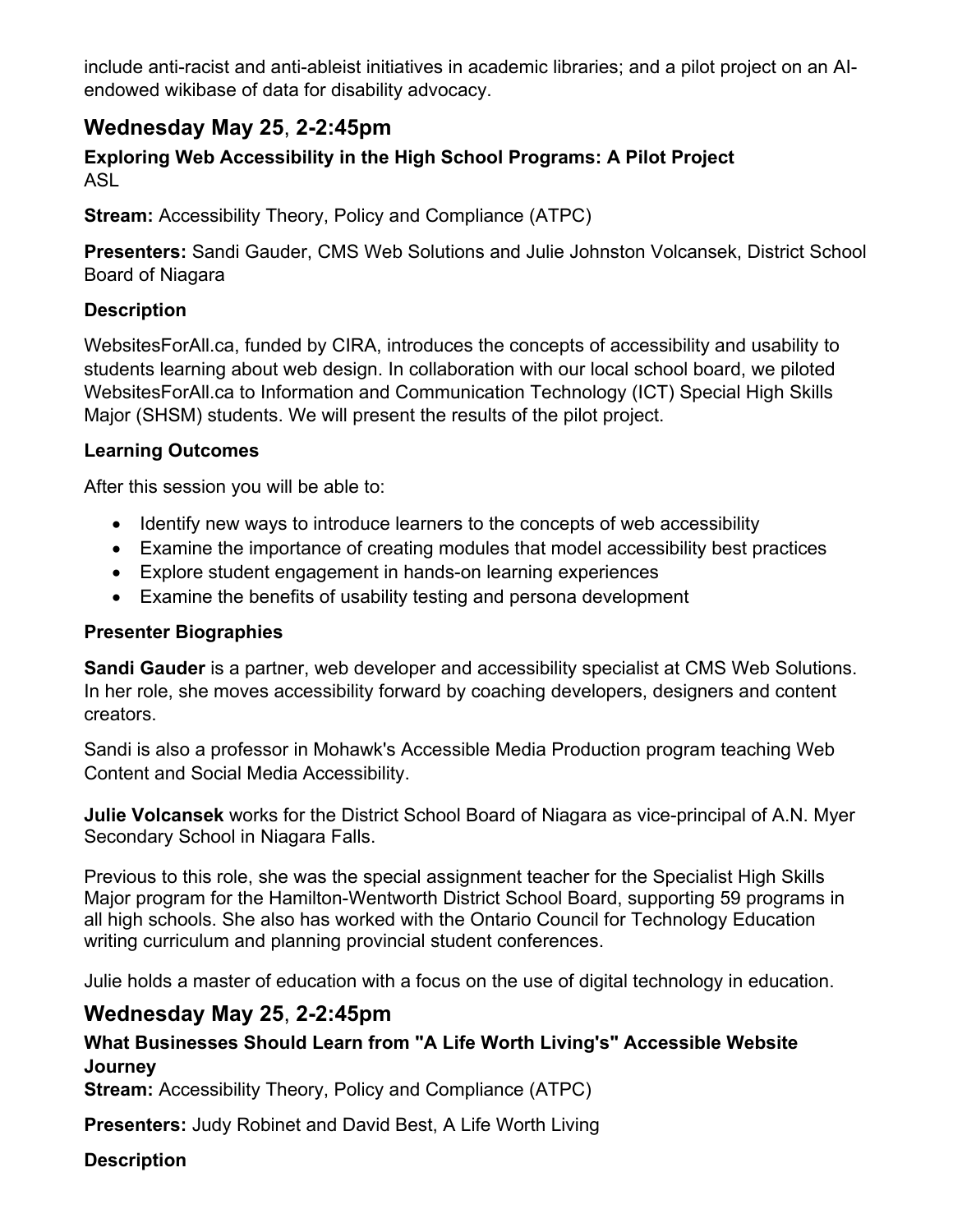include anti-racist and anti-ableist initiatives in academic libraries; and a pilot project on an AIendowed wikibase of data for disability advocacy.

### **Wednesday May 25**, **2-2:45pm**

**Exploring Web Accessibility in the High School Programs: A Pilot Project** ASL

**Stream:** Accessibility Theory, Policy and Compliance (ATPC)

**Presenters:** Sandi Gauder, CMS Web Solutions and Julie Johnston Volcansek, District School Board of Niagara

#### **Description**

WebsitesForAll.ca, funded by CIRA, introduces the concepts of accessibility and usability to students learning about web design. In collaboration with our local school board, we piloted WebsitesForAll.ca to Information and Communication Technology (ICT) Special High Skills Major (SHSM) students. We will present the results of the pilot project.

#### **Learning Outcomes**

After this session you will be able to:

- Identify new ways to introduce learners to the concepts of web accessibility
- Examine the importance of creating modules that model accessibility best practices
- Explore student engagement in hands-on learning experiences
- Examine the benefits of usability testing and persona development

#### **Presenter Biographies**

**Sandi Gauder** is a partner, web developer and accessibility specialist at CMS Web Solutions. In her role, she moves accessibility forward by coaching developers, designers and content creators.

Sandi is also a professor in Mohawk's Accessible Media Production program teaching Web Content and Social Media Accessibility.

**Julie Volcansek** works for the District School Board of Niagara as vice-principal of A.N. Myer Secondary School in Niagara Falls.

Previous to this role, she was the special assignment teacher for the Specialist High Skills Major program for the Hamilton-Wentworth District School Board, supporting 59 programs in all high schools. She also has worked with the Ontario Council for Technology Education writing curriculum and planning provincial student conferences.

Julie holds a master of education with a focus on the use of digital technology in education.

### **Wednesday May 25**, **2-2:45pm**

#### **What Businesses Should Learn from "A Life Worth Living's" Accessible Website Journey**

**Stream:** Accessibility Theory, Policy and Compliance (ATPC)

**Presenters:** Judy Robinet and David Best, A Life Worth Living

#### **Description**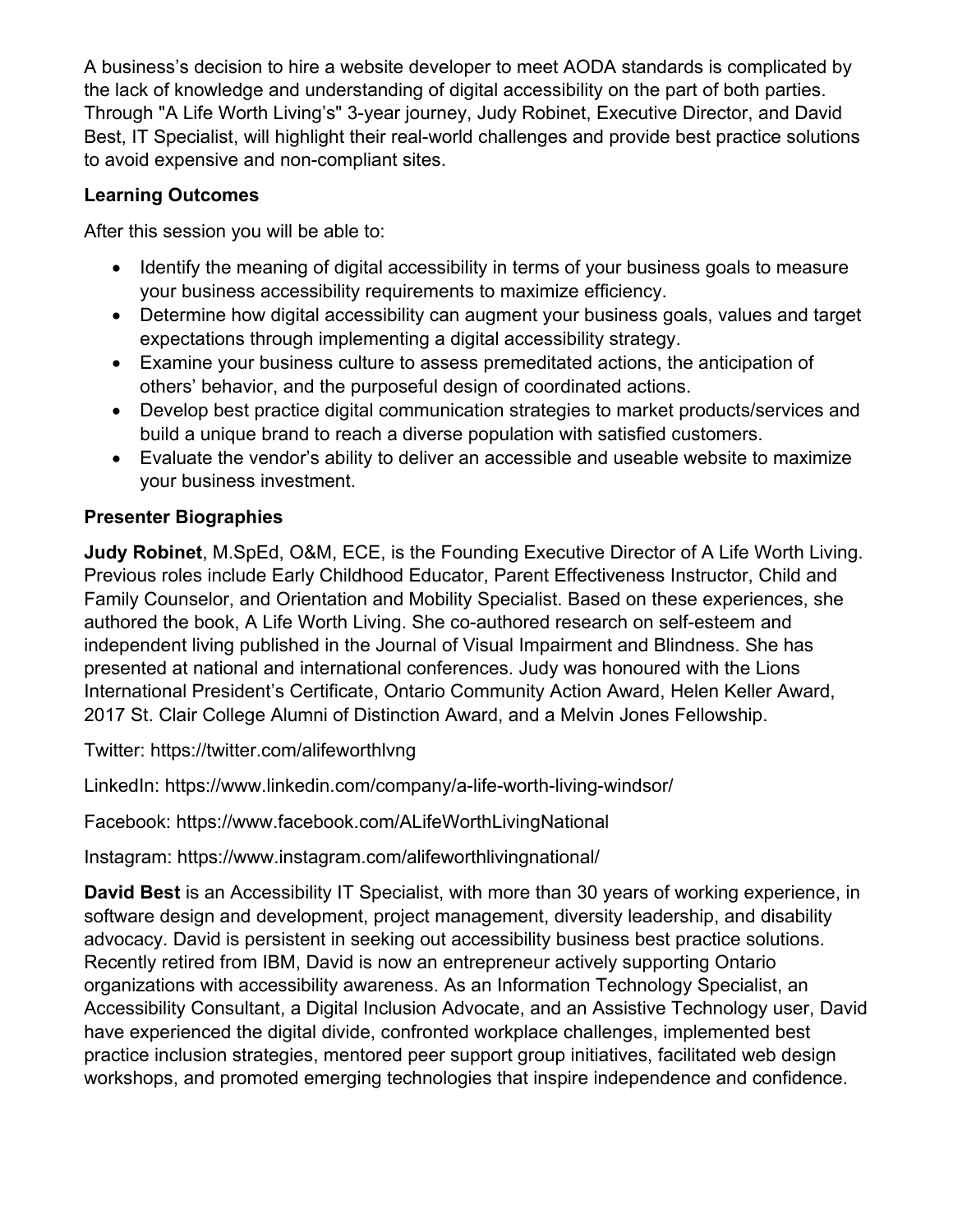A business's decision to hire a website developer to meet AODA standards is complicated by the lack of knowledge and understanding of digital accessibility on the part of both parties. Through "A Life Worth Living's" 3-year journey, Judy Robinet, Executive Director, and David Best, IT Specialist, will highlight their real-world challenges and provide best practice solutions to avoid expensive and non-compliant sites.

#### **Learning Outcomes**

After this session you will be able to:

- Identify the meaning of digital accessibility in terms of your business goals to measure your business accessibility requirements to maximize efficiency.
- Determine how digital accessibility can augment your business goals, values and target expectations through implementing a digital accessibility strategy.
- Examine your business culture to assess premeditated actions, the anticipation of others' behavior, and the purposeful design of coordinated actions.
- Develop best practice digital communication strategies to market products/services and build a unique brand to reach a diverse population with satisfied customers.
- Evaluate the vendor's ability to deliver an accessible and useable website to maximize your business investment.

#### **Presenter Biographies**

**Judy Robinet**, M.SpEd, O&M, ECE, is the Founding Executive Director of A Life Worth Living. Previous roles include Early Childhood Educator, Parent Effectiveness Instructor, Child and Family Counselor, and Orientation and Mobility Specialist. Based on these experiences, she authored the book, A Life Worth Living. She co-authored research on self-esteem and independent living published in the Journal of Visual Impairment and Blindness. She has presented at national and international conferences. Judy was honoured with the Lions International President's Certificate, Ontario Community Action Award, Helen Keller Award, 2017 St. Clair College Alumni of Distinction Award, and a Melvin Jones Fellowship.

Twitter: https://twitter.com/alifeworthlvng

LinkedIn: https://www.linkedin.com/company/a-life-worth-living-windsor/

Facebook: https://www.facebook.com/ALifeWorthLivingNational

Instagram: https://www.instagram.com/alifeworthlivingnational/

**David Best** is an Accessibility IT Specialist, with more than 30 years of working experience, in software design and development, project management, diversity leadership, and disability advocacy. David is persistent in seeking out accessibility business best practice solutions. Recently retired from IBM, David is now an entrepreneur actively supporting Ontario organizations with accessibility awareness. As an Information Technology Specialist, an Accessibility Consultant, a Digital Inclusion Advocate, and an Assistive Technology user, David have experienced the digital divide, confronted workplace challenges, implemented best practice inclusion strategies, mentored peer support group initiatives, facilitated web design workshops, and promoted emerging technologies that inspire independence and confidence.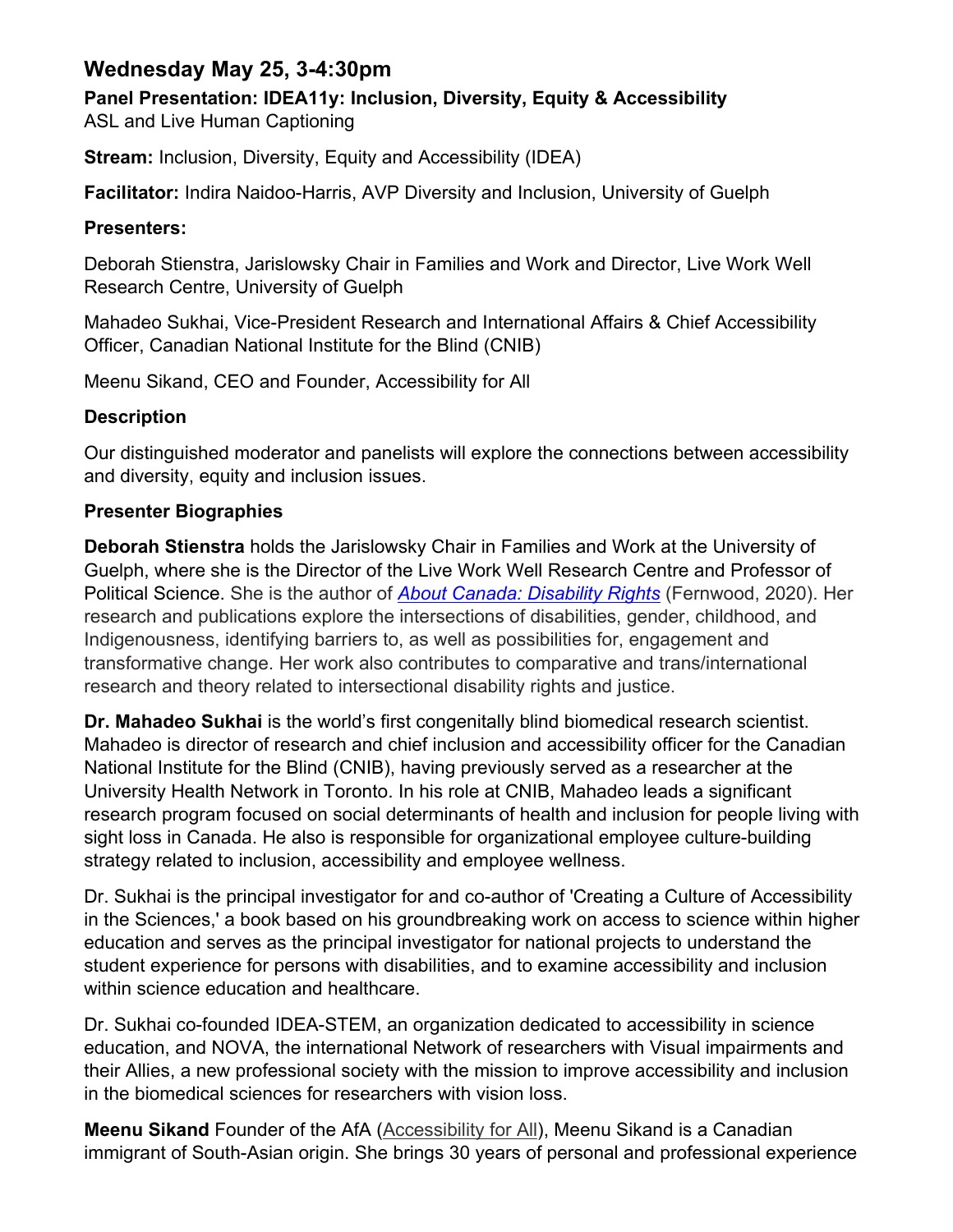### **Wednesday May 25, 3-4:30pm**

**Panel Presentation: IDEA11y: Inclusion, Diversity, Equity & Accessibility**

ASL and Live Human Captioning

**Stream:** Inclusion, Diversity, Equity and Accessibility (IDEA)

**Facilitator:** Indira Naidoo-Harris, AVP Diversity and Inclusion, University of Guelph

#### **Presenters:**

Deborah Stienstra, Jarislowsky Chair in Families and Work and Director, Live Work Well Research Centre, University of Guelph

Mahadeo Sukhai, Vice-President Research and International Affairs & Chief Accessibility Officer, Canadian National Institute for the Blind (CNIB)

Meenu Sikand, CEO and Founder, Accessibility for All

#### **Description**

Our distinguished moderator and panelists will explore the connections between accessibility and diversity, equity and inclusion issues.

#### **Presenter Biographies**

**Deborah Stienstra** holds the Jarislowsky Chair in Families and Work at the University of Guelph, where she is the Director of the Live Work Well Research Centre and Professor of Political Science. She is the author of *[About Canada: Disability Rights](https://fernwoodpublishing.ca/book/about-canada-disability-rights801)* (Fernwood, 2020). Her research and publications explore the intersections of disabilities, gender, childhood, and Indigenousness, identifying barriers to, as well as possibilities for, engagement and transformative change. Her work also contributes to comparative and trans/international research and theory related to intersectional disability rights and justice.

**Dr. Mahadeo Sukhai** is the world's first congenitally blind biomedical research scientist. Mahadeo is director of research and chief inclusion and accessibility officer for the Canadian National Institute for the Blind (CNIB), having previously served as a researcher at the University Health Network in Toronto. In his role at CNIB, Mahadeo leads a significant research program focused on social determinants of health and inclusion for people living with sight loss in Canada. He also is responsible for organizational employee culture-building strategy related to inclusion, accessibility and employee wellness.

Dr. Sukhai is the principal investigator for and co-author of 'Creating a Culture of Accessibility in the Sciences,' a book based on his groundbreaking work on access to science within higher education and serves as the principal investigator for national projects to understand the student experience for persons with disabilities, and to examine accessibility and inclusion within science education and healthcare.

Dr. Sukhai co-founded IDEA-STEM, an organization dedicated to accessibility in science education, and NOVA, the international Network of researchers with Visual impairments and their Allies, a new professional society with the mission to improve accessibility and inclusion in the biomedical sciences for researchers with vision loss.

**Meenu Sikand** Founder of the AfA [\(Accessibility for All\)](http://r20.rs6.net/tn.jsp?f=001l6gjMGg-Bv2VGpRTQcofvoCYlYfbOCh9zDOw-l84FNwUQQjPIhMc7Vaa7ixzX3i8n84MXpFPi7XqE-yMYKeBG0ZuzITS5K1114TjU9blvk2l2OT5_fc1_ltszEjv7A2TWrE3JA1b2sjrbxUammzkKMu7jEE9IwPai8TC_5Qg40yaKFKZBPObnFHrbKtGvj5f&c=mQWC4_ETWI4r6m_QwJxTqsRRnZoe9qKURKaZbKlWJP8m7nrUlpaQ1A==&ch=n7VEjxtotgZnTawtbaLcTvLbKnZdgenyeYly-qBF32rnNVwZg8V1Dw==), Meenu Sikand is a Canadian immigrant of South-Asian origin. She brings 30 years of personal and professional experience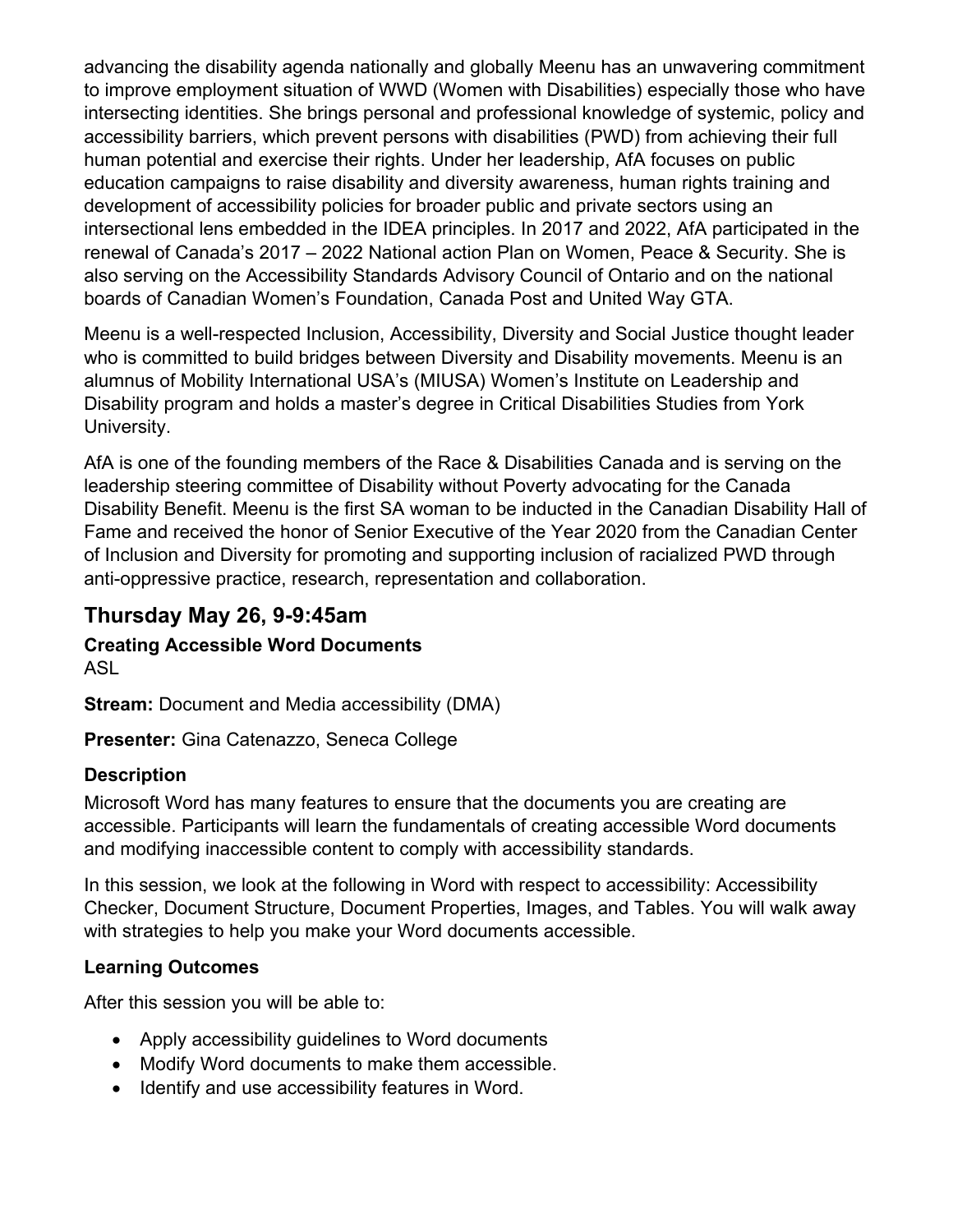advancing the disability agenda nationally and globally Meenu has an unwavering commitment to improve employment situation of WWD (Women with Disabilities) especially those who have intersecting identities. She brings personal and professional knowledge of systemic, policy and accessibility barriers, which prevent persons with disabilities (PWD) from achieving their full human potential and exercise their rights. Under her leadership, AfA focuses on public education campaigns to raise disability and diversity awareness, human rights training and development of accessibility policies for broader public and private sectors using an intersectional lens embedded in the IDEA principles. In 2017 and 2022, AfA participated in the renewal of Canada's 2017 – 2022 National action Plan on Women, Peace & Security. She is also serving on the Accessibility Standards Advisory Council of Ontario and on the national boards of Canadian Women's Foundation, Canada Post and United Way GTA.

Meenu is a well-respected Inclusion, Accessibility, Diversity and Social Justice thought leader who is committed to build bridges between Diversity and Disability movements. Meenu is an alumnus of Mobility International USA's (MIUSA) Women's Institute on Leadership and Disability program and holds a master's degree in Critical Disabilities Studies from York University.

AfA is one of the founding members of the Race & Disabilities Canada and is serving on the leadership steering committee of Disability without Poverty advocating for the Canada Disability Benefit. Meenu is the first SA woman to be inducted in the Canadian Disability Hall of Fame and received the honor of Senior Executive of the Year 2020 from the Canadian Center of Inclusion and Diversity for promoting and supporting inclusion of racialized PWD through anti-oppressive practice, research, representation and collaboration.

### **Thursday May 26, 9-9:45am**

#### **Creating Accessible Word Documents** ASL

**Stream:** Document and Media accessibility (DMA)

**Presenter:** Gina Catenazzo, Seneca College

#### **Description**

Microsoft Word has many features to ensure that the documents you are creating are accessible. Participants will learn the fundamentals of creating accessible Word documents and modifying inaccessible content to comply with accessibility standards.

In this session, we look at the following in Word with respect to accessibility: Accessibility Checker, Document Structure, Document Properties, Images, and Tables. You will walk away with strategies to help you make your Word documents accessible.

#### **Learning Outcomes**

After this session you will be able to:

- Apply accessibility guidelines to Word documents
- Modify Word documents to make them accessible.
- Identify and use accessibility features in Word.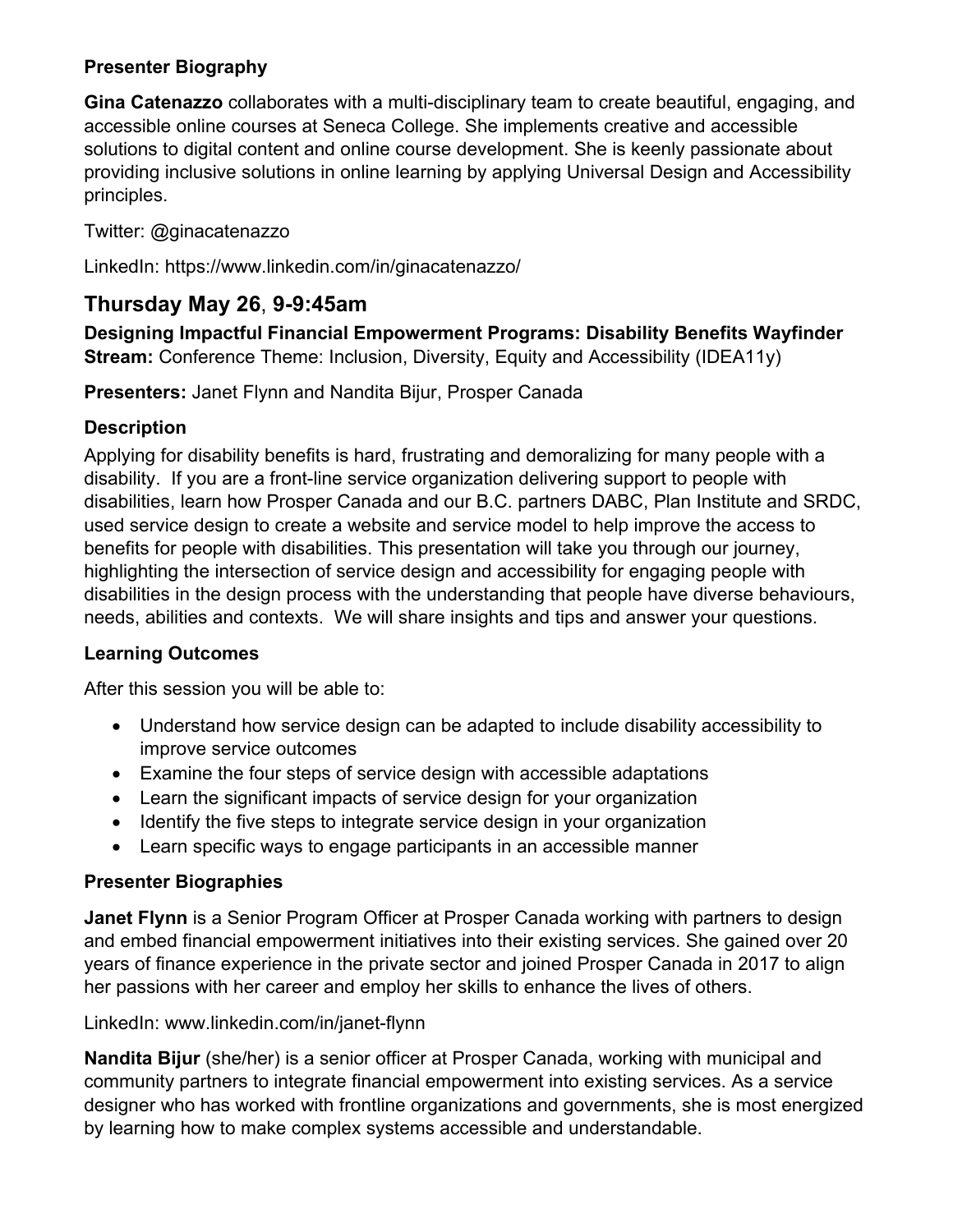#### **Presenter Biography**

**Gina Catenazzo** collaborates with a multi-disciplinary team to create beautiful, engaging, and accessible online courses at Seneca College. She implements creative and accessible solutions to digital content and online course development. She is keenly passionate about providing inclusive solutions in online learning by applying Universal Design and Accessibility principles.

#### Twitter: @ginacatenazzo

LinkedIn: https://www.linkedin.com/in/ginacatenazzo/

### **Thursday May 26**, **9-9:45am**

**Designing Impactful Financial Empowerment Programs: Disability Benefits Wayfinder Stream:** Conference Theme: Inclusion, Diversity, Equity and Accessibility (IDEA11y)

**Presenters:** Janet Flynn and Nandita Bijur, Prosper Canada

#### **Description**

Applying for disability benefits is hard, frustrating and demoralizing for many people with a disability. If you are a front-line service organization delivering support to people with disabilities, learn how Prosper Canada and our B.C. partners DABC, Plan Institute and SRDC, used service design to create a website and service model to help improve the access to benefits for people with disabilities. This presentation will take you through our journey, highlighting the intersection of service design and accessibility for engaging people with disabilities in the design process with the understanding that people have diverse behaviours, needs, abilities and contexts. We will share insights and tips and answer your questions.

#### **Learning Outcomes**

After this session you will be able to:

- Understand how service design can be adapted to include disability accessibility to improve service outcomes
- Examine the four steps of service design with accessible adaptations
- Learn the significant impacts of service design for your organization
- Identify the five steps to integrate service design in your organization
- Learn specific ways to engage participants in an accessible manner

#### **Presenter Biographies**

**Janet Flynn** is a Senior Program Officer at Prosper Canada working with partners to design and embed financial empowerment initiatives into their existing services. She gained over 20 years of finance experience in the private sector and joined Prosper Canada in 2017 to align her passions with her career and employ her skills to enhance the lives of others.

LinkedIn: www.linkedin.com/in/janet-flynn

**Nandita Bijur** (she/her) is a senior officer at Prosper Canada, working with municipal and community partners to integrate financial empowerment into existing services. As a service designer who has worked with frontline organizations and governments, she is most energized by learning how to make complex systems accessible and understandable.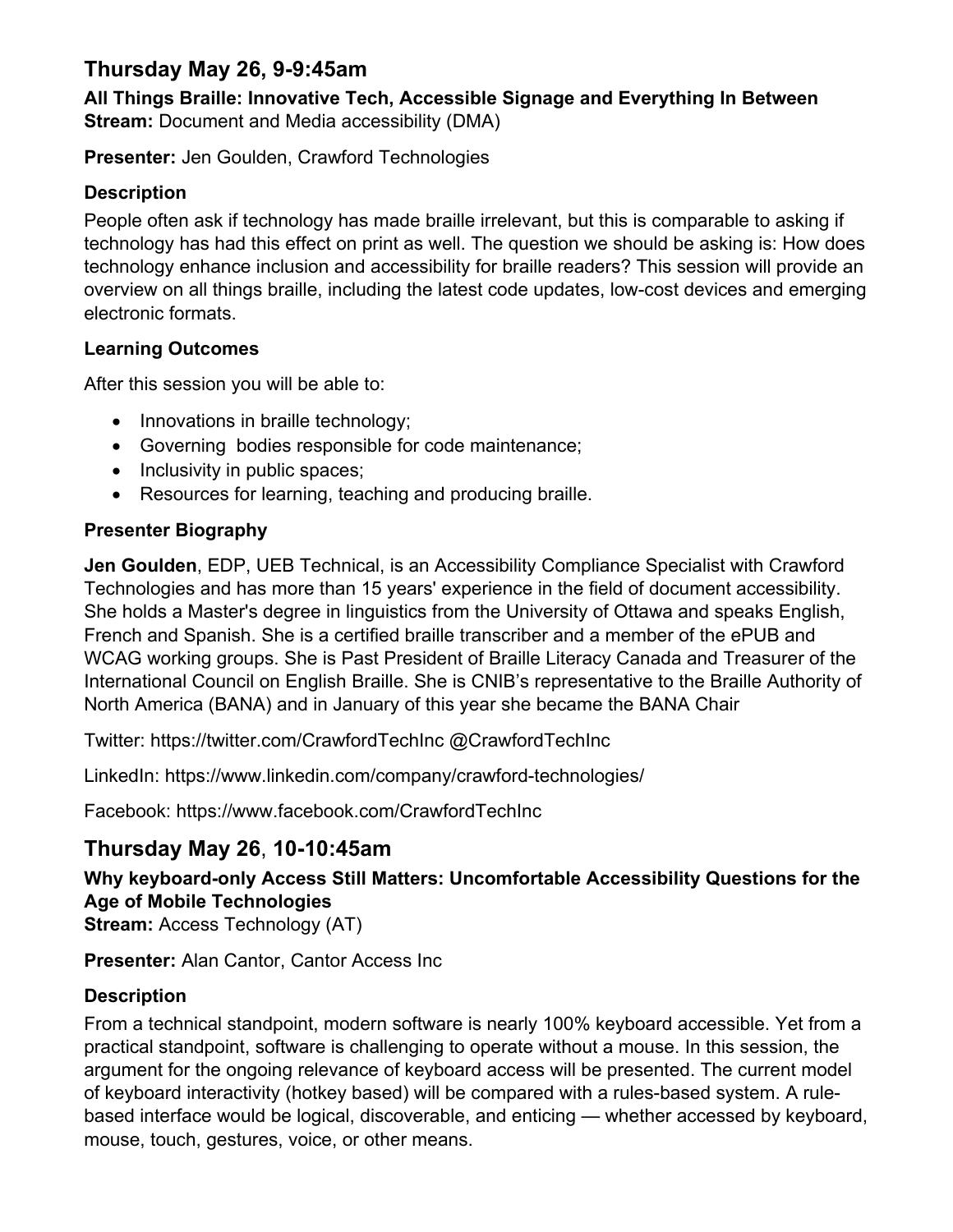### **Thursday May 26, 9-9:45am**

**All Things Braille: Innovative Tech, Accessible Signage and Everything In Between Stream:** Document and Media accessibility (DMA)

**Presenter:** Jen Goulden, Crawford Technologies

#### **Description**

People often ask if technology has made braille irrelevant, but this is comparable to asking if technology has had this effect on print as well. The question we should be asking is: How does technology enhance inclusion and accessibility for braille readers? This session will provide an overview on all things braille, including the latest code updates, low-cost devices and emerging electronic formats.

#### **Learning Outcomes**

After this session you will be able to:

- Innovations in braille technology;
- Governing bodies responsible for code maintenance;
- Inclusivity in public spaces;
- Resources for learning, teaching and producing braille.

#### **Presenter Biography**

**Jen Goulden**, EDP, UEB Technical, is an Accessibility Compliance Specialist with Crawford Technologies and has more than 15 years' experience in the field of document accessibility. She holds a Master's degree in linguistics from the University of Ottawa and speaks English, French and Spanish. She is a certified braille transcriber and a member of the ePUB and WCAG working groups. She is Past President of Braille Literacy Canada and Treasurer of the International Council on English Braille. She is CNIB's representative to the Braille Authority of North America (BANA) and in January of this year she became the BANA Chair

Twitter: https://twitter.com/CrawfordTechInc @CrawfordTechInc

LinkedIn: https://www.linkedin.com/company/crawford-technologies/

Facebook: https://www.facebook.com/CrawfordTechInc

### **Thursday May 26**, **10-10:45am**

**Why keyboard-only Access Still Matters: Uncomfortable Accessibility Questions for the Age of Mobile Technologies Stream:** Access Technology (AT)

**Presenter:** Alan Cantor, Cantor Access Inc

#### **Description**

From a technical standpoint, modern software is nearly 100% keyboard accessible. Yet from a practical standpoint, software is challenging to operate without a mouse. In this session, the argument for the ongoing relevance of keyboard access will be presented. The current model of keyboard interactivity (hotkey based) will be compared with a rules-based system. A rulebased interface would be logical, discoverable, and enticing — whether accessed by keyboard, mouse, touch, gestures, voice, or other means.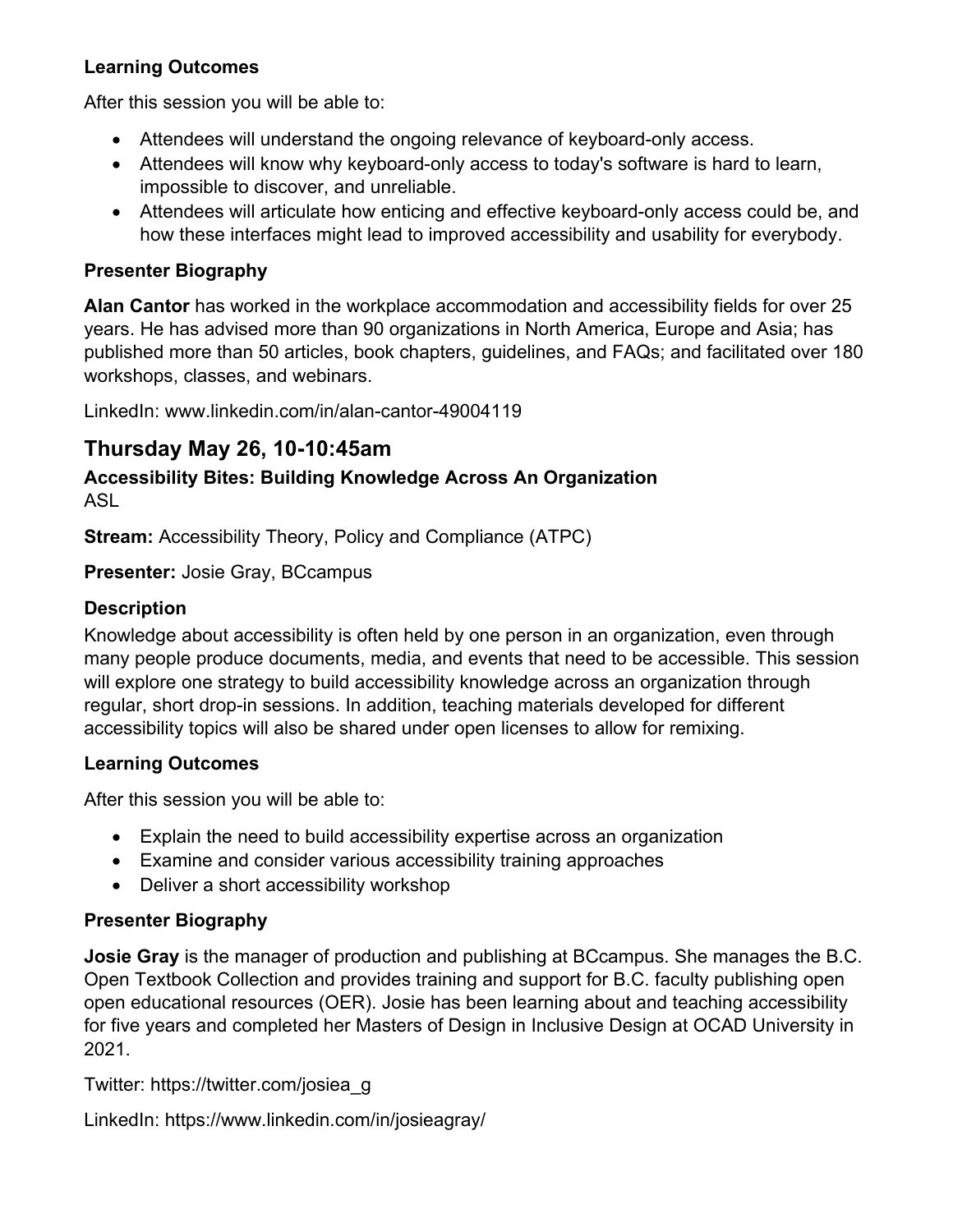#### **Learning Outcomes**

After this session you will be able to:

- Attendees will understand the ongoing relevance of keyboard-only access.
- Attendees will know why keyboard-only access to today's software is hard to learn, impossible to discover, and unreliable.
- Attendees will articulate how enticing and effective keyboard-only access could be, and how these interfaces might lead to improved accessibility and usability for everybody.

#### **Presenter Biography**

**Alan Cantor** has worked in the workplace accommodation and accessibility fields for over 25 years. He has advised more than 90 organizations in North America, Europe and Asia; has published more than 50 articles, book chapters, guidelines, and FAQs; and facilitated over 180 workshops, classes, and webinars.

LinkedIn: www.linkedin.com/in/alan-cantor-49004119

### **Thursday May 26, 10-10:45am**

#### **Accessibility Bites: Building Knowledge Across An Organization** ASL

**Stream:** Accessibility Theory, Policy and Compliance (ATPC)

**Presenter:** Josie Gray, BCcampus

#### **Description**

Knowledge about accessibility is often held by one person in an organization, even through many people produce documents, media, and events that need to be accessible. This session will explore one strategy to build accessibility knowledge across an organization through regular, short drop-in sessions. In addition, teaching materials developed for different accessibility topics will also be shared under open licenses to allow for remixing.

#### **Learning Outcomes**

After this session you will be able to:

- Explain the need to build accessibility expertise across an organization
- Examine and consider various accessibility training approaches
- Deliver a short accessibility workshop

#### **Presenter Biography**

**Josie Gray** is the manager of production and publishing at BCcampus. She manages the B.C. Open Textbook Collection and provides training and support for B.C. faculty publishing open open educational resources (OER). Josie has been learning about and teaching accessibility for five years and completed her Masters of Design in Inclusive Design at OCAD University in 2021.

Twitter: https://twitter.com/josiea\_g

LinkedIn: https://www.linkedin.com/in/josieagray/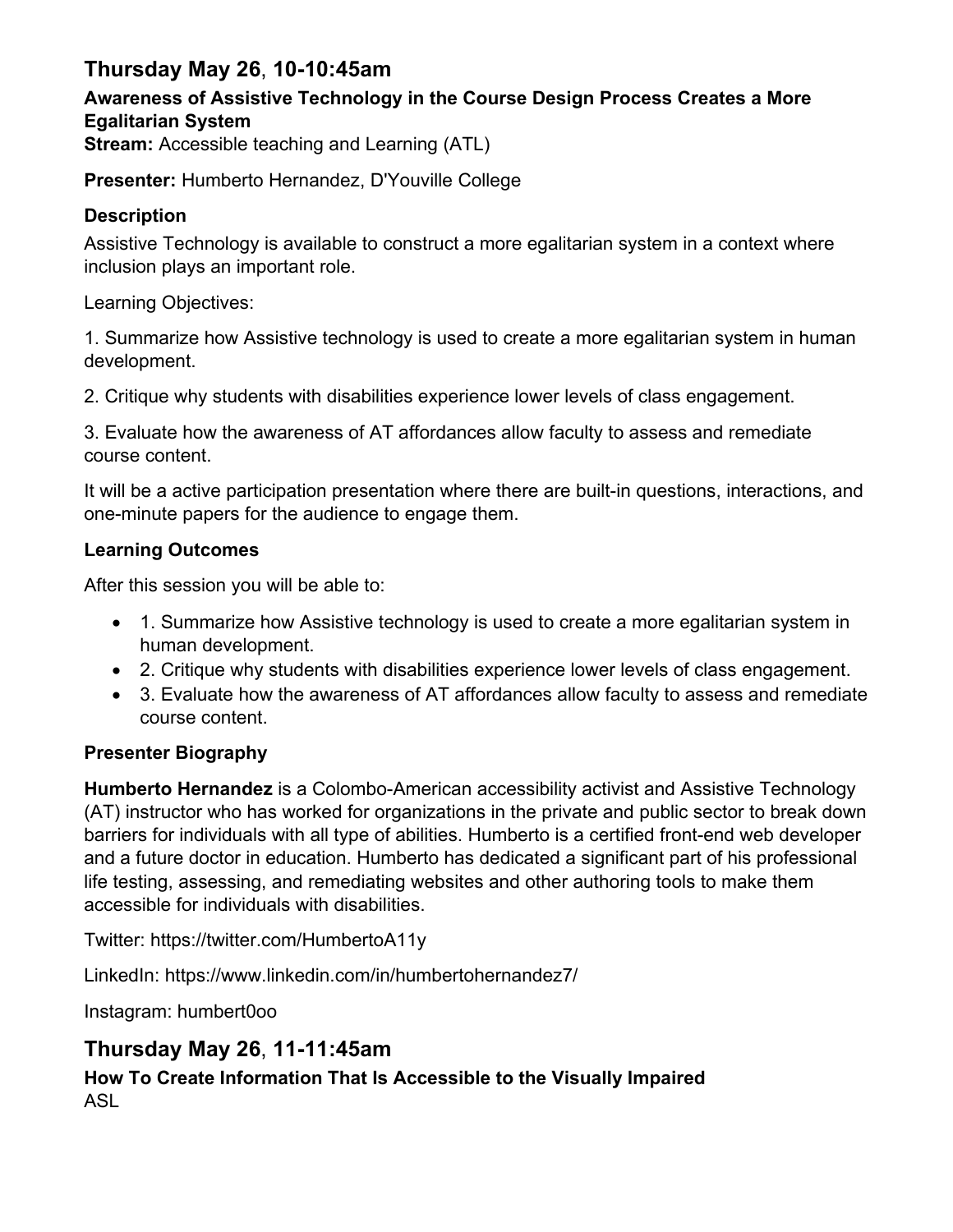### **Thursday May 26**, **10-10:45am**

### **Awareness of Assistive Technology in the Course Design Process Creates a More Egalitarian System**

**Stream:** Accessible teaching and Learning (ATL)

**Presenter:** Humberto Hernandez, D'Youville College

#### **Description**

Assistive Technology is available to construct a more egalitarian system in a context where inclusion plays an important role.

Learning Objectives:

1. Summarize how Assistive technology is used to create a more egalitarian system in human development.

2. Critique why students with disabilities experience lower levels of class engagement.

3. Evaluate how the awareness of AT affordances allow faculty to assess and remediate course content.

It will be a active participation presentation where there are built-in questions, interactions, and one-minute papers for the audience to engage them.

#### **Learning Outcomes**

After this session you will be able to:

- 1. Summarize how Assistive technology is used to create a more egalitarian system in human development.
- 2. Critique why students with disabilities experience lower levels of class engagement.
- 3. Evaluate how the awareness of AT affordances allow faculty to assess and remediate course content.

#### **Presenter Biography**

**Humberto Hernandez** is a Colombo-American accessibility activist and Assistive Technology (AT) instructor who has worked for organizations in the private and public sector to break down barriers for individuals with all type of abilities. Humberto is a certified front-end web developer and a future doctor in education. Humberto has dedicated a significant part of his professional life testing, assessing, and remediating websites and other authoring tools to make them accessible for individuals with disabilities.

Twitter: https://twitter.com/HumbertoA11y

LinkedIn: https://www.linkedin.com/in/humbertohernandez7/

Instagram: humbert0oo

### **Thursday May 26**, **11-11:45am**

#### **How To Create Information That Is Accessible to the Visually Impaired** ASL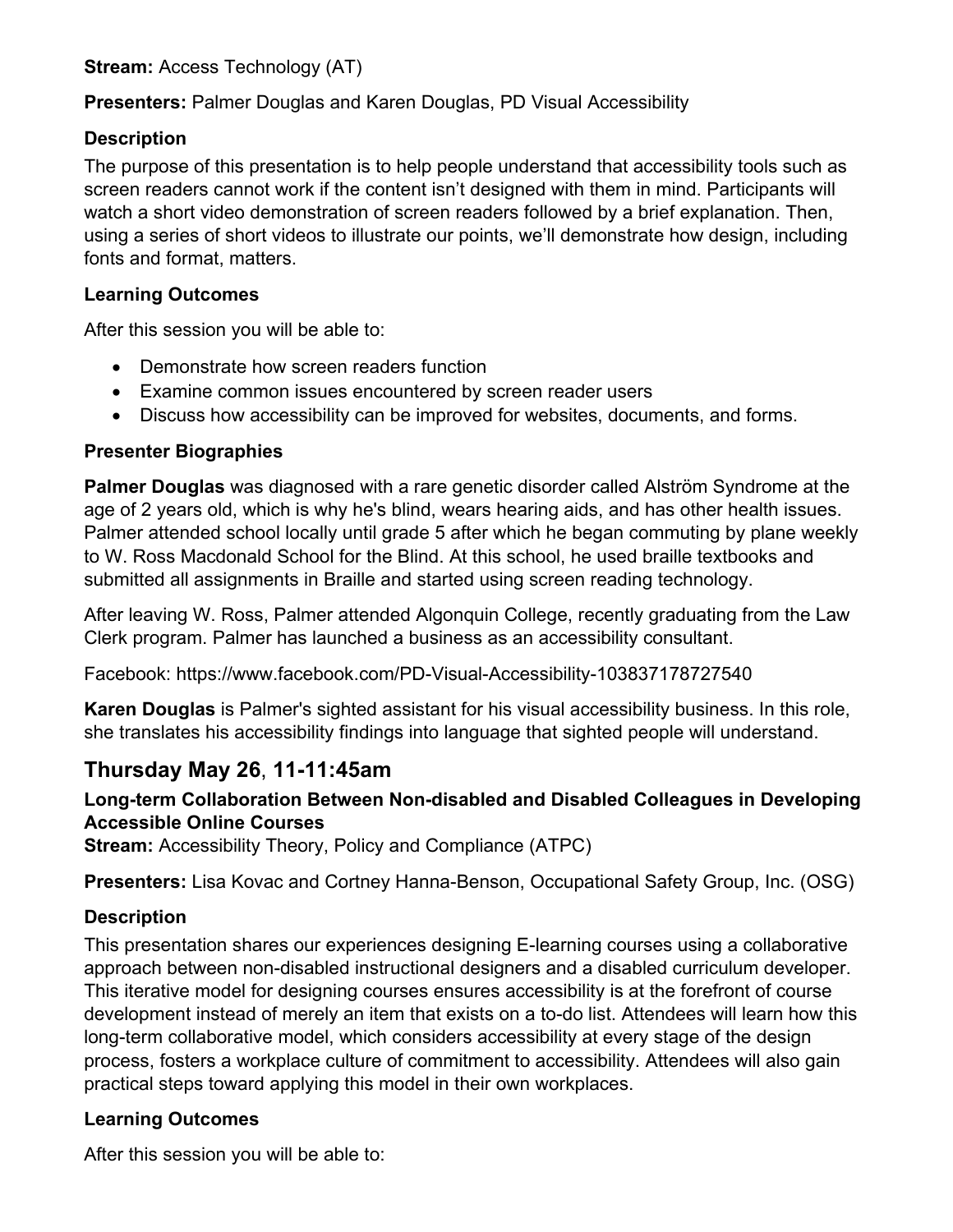**Stream:** Access Technology (AT)

**Presenters:** Palmer Douglas and Karen Douglas, PD Visual Accessibility

#### **Description**

The purpose of this presentation is to help people understand that accessibility tools such as screen readers cannot work if the content isn't designed with them in mind. Participants will watch a short video demonstration of screen readers followed by a brief explanation. Then, using a series of short videos to illustrate our points, we'll demonstrate how design, including fonts and format, matters.

#### **Learning Outcomes**

After this session you will be able to:

- Demonstrate how screen readers function
- Examine common issues encountered by screen reader users
- Discuss how accessibility can be improved for websites, documents, and forms.

#### **Presenter Biographies**

**Palmer Douglas** was diagnosed with a rare genetic disorder called Alström Syndrome at the age of 2 years old, which is why he's blind, wears hearing aids, and has other health issues. Palmer attended school locally until grade 5 after which he began commuting by plane weekly to W. Ross Macdonald School for the Blind. At this school, he used braille textbooks and submitted all assignments in Braille and started using screen reading technology.

After leaving W. Ross, Palmer attended Algonquin College, recently graduating from the Law Clerk program. Palmer has launched a business as an accessibility consultant.

Facebook: https://www.facebook.com/PD-Visual-Accessibility-103837178727540

**Karen Douglas** is Palmer's sighted assistant for his visual accessibility business. In this role, she translates his accessibility findings into language that sighted people will understand.

### **Thursday May 26**, **11-11:45am**

#### **Long-term Collaboration Between Non-disabled and Disabled Colleagues in Developing Accessible Online Courses**

**Stream:** Accessibility Theory, Policy and Compliance (ATPC)

**Presenters:** Lisa Kovac and Cortney Hanna-Benson, Occupational Safety Group, Inc. (OSG)

#### **Description**

This presentation shares our experiences designing E-learning courses using a collaborative approach between non-disabled instructional designers and a disabled curriculum developer. This iterative model for designing courses ensures accessibility is at the forefront of course development instead of merely an item that exists on a to-do list. Attendees will learn how this long-term collaborative model, which considers accessibility at every stage of the design process, fosters a workplace culture of commitment to accessibility. Attendees will also gain practical steps toward applying this model in their own workplaces.

#### **Learning Outcomes**

After this session you will be able to: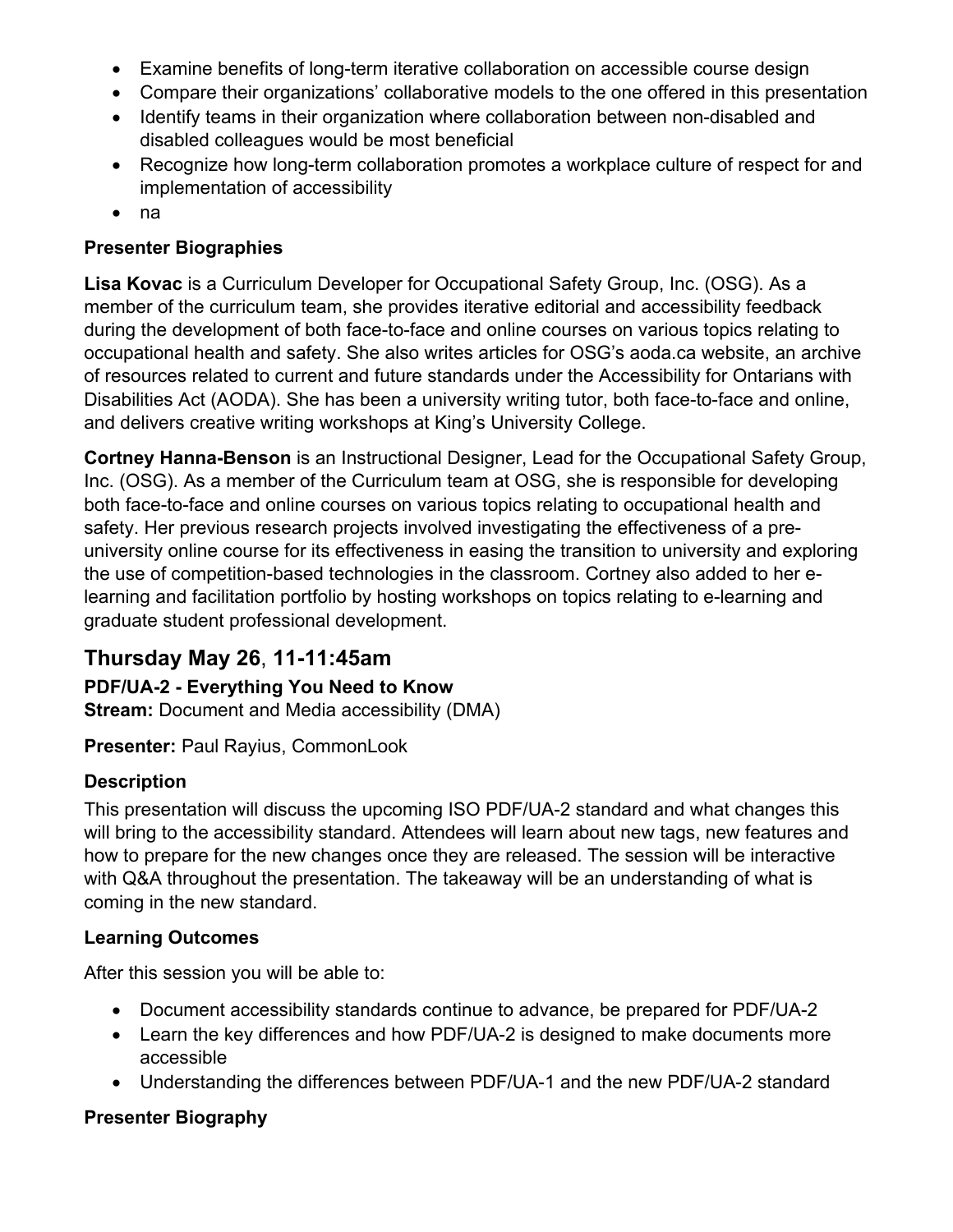- Examine benefits of long-term iterative collaboration on accessible course design
- Compare their organizations' collaborative models to the one offered in this presentation
- Identify teams in their organization where collaboration between non-disabled and disabled colleagues would be most beneficial
- Recognize how long-term collaboration promotes a workplace culture of respect for and implementation of accessibility
- na

#### **Presenter Biographies**

**Lisa Kovac** is a Curriculum Developer for Occupational Safety Group, Inc. (OSG). As a member of the curriculum team, she provides iterative editorial and accessibility feedback during the development of both face-to-face and online courses on various topics relating to occupational health and safety. She also writes articles for OSG's aoda.ca website, an archive of resources related to current and future standards under the Accessibility for Ontarians with Disabilities Act (AODA). She has been a university writing tutor, both face-to-face and online, and delivers creative writing workshops at King's University College.

**Cortney Hanna-Benson** is an Instructional Designer, Lead for the Occupational Safety Group, Inc. (OSG). As a member of the Curriculum team at OSG, she is responsible for developing both face-to-face and online courses on various topics relating to occupational health and safety. Her previous research projects involved investigating the effectiveness of a preuniversity online course for its effectiveness in easing the transition to university and exploring the use of competition-based technologies in the classroom. Cortney also added to her elearning and facilitation portfolio by hosting workshops on topics relating to e-learning and graduate student professional development.

### **Thursday May 26**, **11-11:45am**

#### **PDF/UA-2 - Everything You Need to Know**

**Stream:** Document and Media accessibility (DMA)

**Presenter:** Paul Rayius, CommonLook

#### **Description**

This presentation will discuss the upcoming ISO PDF/UA-2 standard and what changes this will bring to the accessibility standard. Attendees will learn about new tags, new features and how to prepare for the new changes once they are released. The session will be interactive with Q&A throughout the presentation. The takeaway will be an understanding of what is coming in the new standard.

#### **Learning Outcomes**

After this session you will be able to:

- Document accessibility standards continue to advance, be prepared for PDF/UA-2
- Learn the key differences and how PDF/UA-2 is designed to make documents more accessible
- Understanding the differences between PDF/UA-1 and the new PDF/UA-2 standard

#### **Presenter Biography**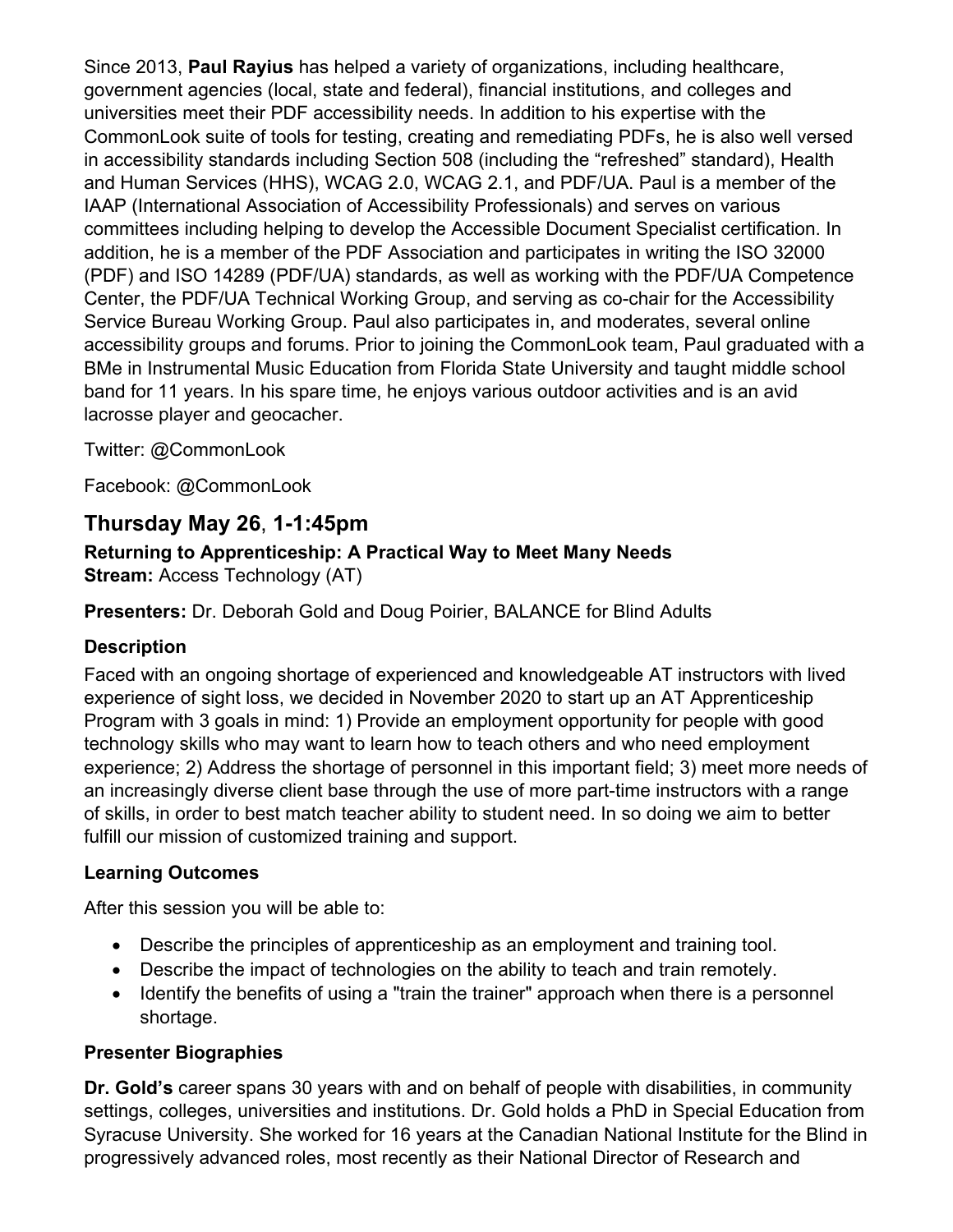Since 2013, **Paul Rayius** has helped a variety of organizations, including healthcare, government agencies (local, state and federal), financial institutions, and colleges and universities meet their PDF accessibility needs. In addition to his expertise with the CommonLook suite of tools for testing, creating and remediating PDFs, he is also well versed in accessibility standards including Section 508 (including the "refreshed" standard), Health and Human Services (HHS), WCAG 2.0, WCAG 2.1, and PDF/UA. Paul is a member of the IAAP (International Association of Accessibility Professionals) and serves on various committees including helping to develop the Accessible Document Specialist certification. In addition, he is a member of the PDF Association and participates in writing the ISO 32000 (PDF) and ISO 14289 (PDF/UA) standards, as well as working with the PDF/UA Competence Center, the PDF/UA Technical Working Group, and serving as co-chair for the Accessibility Service Bureau Working Group. Paul also participates in, and moderates, several online accessibility groups and forums. Prior to joining the CommonLook team, Paul graduated with a BMe in Instrumental Music Education from Florida State University and taught middle school band for 11 years. In his spare time, he enjoys various outdoor activities and is an avid lacrosse player and geocacher.

Twitter: @CommonLook

Facebook: @CommonLook

### **Thursday May 26**, **1-1:45pm**

#### **Returning to Apprenticeship: A Practical Way to Meet Many Needs Stream:** Access Technology (AT)

**Presenters:** Dr. Deborah Gold and Doug Poirier, BALANCE for Blind Adults

#### **Description**

Faced with an ongoing shortage of experienced and knowledgeable AT instructors with lived experience of sight loss, we decided in November 2020 to start up an AT Apprenticeship Program with 3 goals in mind: 1) Provide an employment opportunity for people with good technology skills who may want to learn how to teach others and who need employment experience; 2) Address the shortage of personnel in this important field; 3) meet more needs of an increasingly diverse client base through the use of more part-time instructors with a range of skills, in order to best match teacher ability to student need. In so doing we aim to better fulfill our mission of customized training and support.

#### **Learning Outcomes**

After this session you will be able to:

- Describe the principles of apprenticeship as an employment and training tool.
- Describe the impact of technologies on the ability to teach and train remotely.
- Identify the benefits of using a "train the trainer" approach when there is a personnel shortage.

#### **Presenter Biographies**

**Dr. Gold's** career spans 30 years with and on behalf of people with disabilities, in community settings, colleges, universities and institutions. Dr. Gold holds a PhD in Special Education from Syracuse University. She worked for 16 years at the Canadian National Institute for the Blind in progressively advanced roles, most recently as their National Director of Research and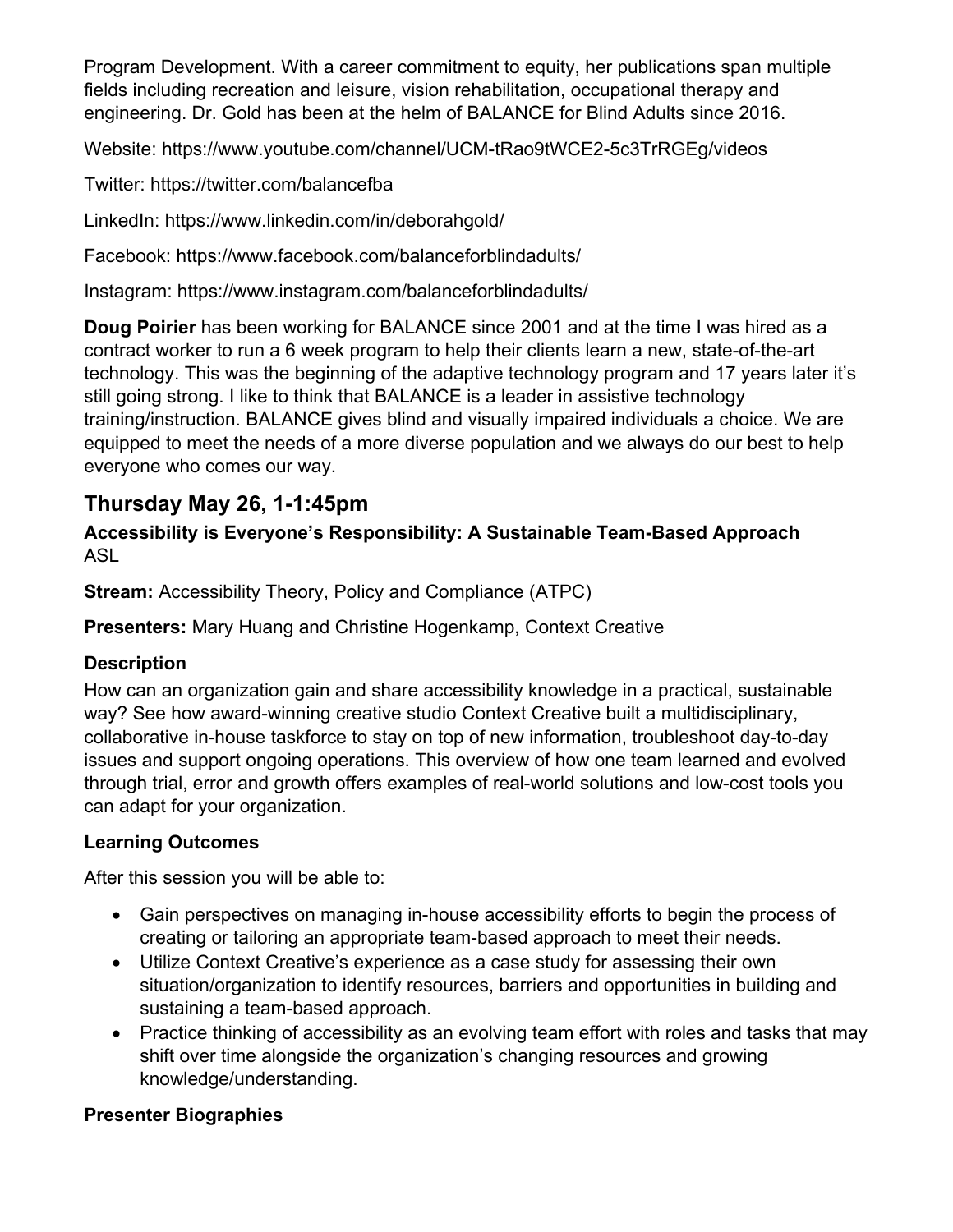Program Development. With a career commitment to equity, her publications span multiple fields including recreation and leisure, vision rehabilitation, occupational therapy and engineering. Dr. Gold has been at the helm of BALANCE for Blind Adults since 2016.

Website: https://www.youtube.com/channel/UCM-tRao9tWCE2-5c3TrRGEg/videos

Twitter: https://twitter.com/balancefba

LinkedIn: https://www.linkedin.com/in/deborahgold/

Facebook: https://www.facebook.com/balanceforblindadults/

Instagram: https://www.instagram.com/balanceforblindadults/

**Doug Poirier** has been working for BALANCE since 2001 and at the time I was hired as a contract worker to run a 6 week program to help their clients learn a new, state-of-the-art technology. This was the beginning of the adaptive technology program and 17 years later it's still going strong. I like to think that BALANCE is a leader in assistive technology training/instruction. BALANCE gives blind and visually impaired individuals a choice. We are equipped to meet the needs of a more diverse population and we always do our best to help everyone who comes our way.

### **Thursday May 26, 1-1:45pm**

#### **Accessibility is Everyone's Responsibility: A Sustainable Team-Based Approach** ASL

**Stream:** Accessibility Theory, Policy and Compliance (ATPC)

**Presenters:** Mary Huang and Christine Hogenkamp, Context Creative

#### **Description**

How can an organization gain and share accessibility knowledge in a practical, sustainable way? See how award-winning creative studio Context Creative built a multidisciplinary, collaborative in-house taskforce to stay on top of new information, troubleshoot day-to-day issues and support ongoing operations. This overview of how one team learned and evolved through trial, error and growth offers examples of real-world solutions and low-cost tools you can adapt for your organization.

#### **Learning Outcomes**

After this session you will be able to:

- Gain perspectives on managing in-house accessibility efforts to begin the process of creating or tailoring an appropriate team-based approach to meet their needs.
- Utilize Context Creative's experience as a case study for assessing their own situation/organization to identify resources, barriers and opportunities in building and sustaining a team-based approach.
- Practice thinking of accessibility as an evolving team effort with roles and tasks that may shift over time alongside the organization's changing resources and growing knowledge/understanding.

#### **Presenter Biographies**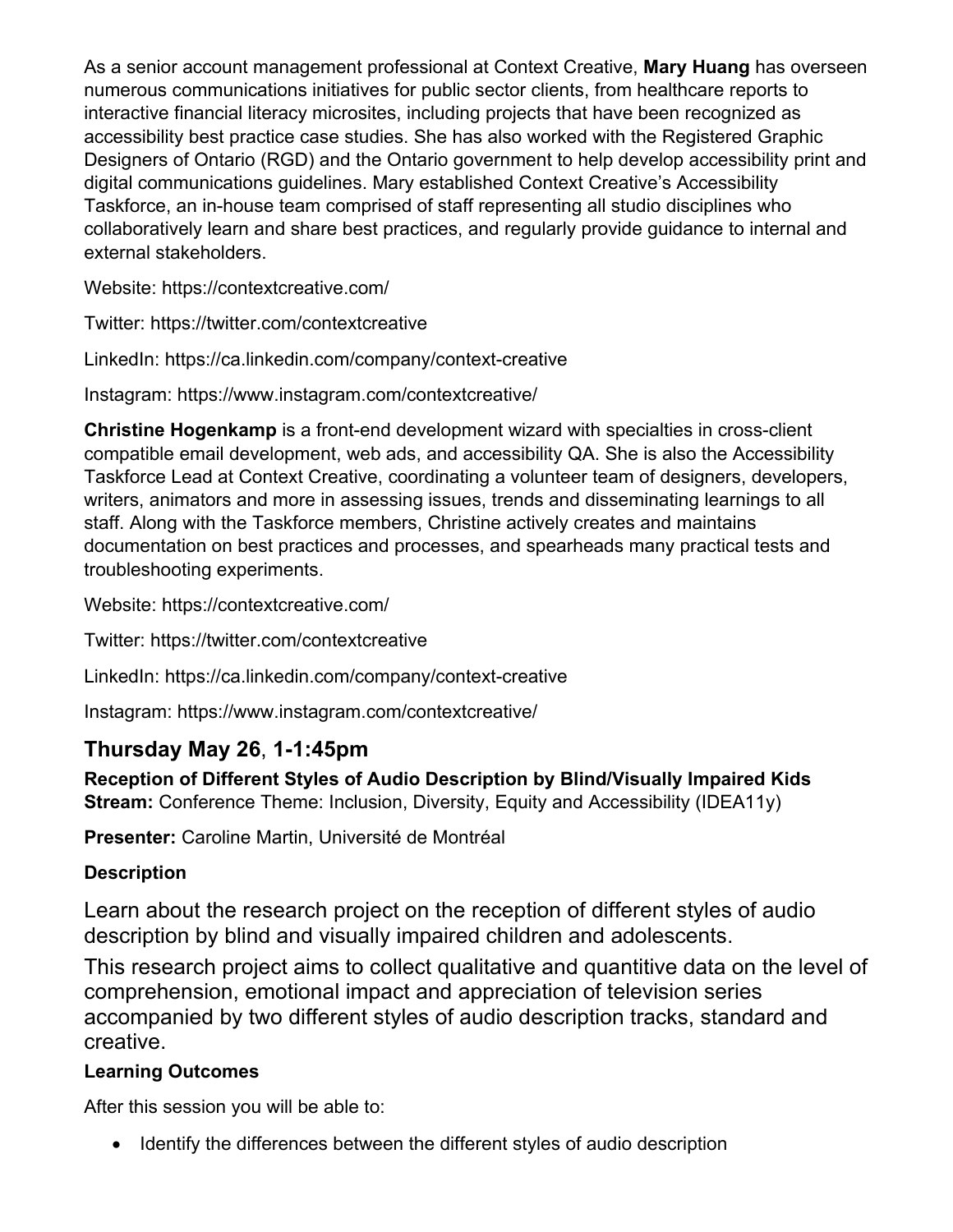As a senior account management professional at Context Creative, **Mary Huang** has overseen numerous communications initiatives for public sector clients, from healthcare reports to interactive financial literacy microsites, including projects that have been recognized as accessibility best practice case studies. She has also worked with the Registered Graphic Designers of Ontario (RGD) and the Ontario government to help develop accessibility print and digital communications guidelines. Mary established Context Creative's Accessibility Taskforce, an in-house team comprised of staff representing all studio disciplines who collaboratively learn and share best practices, and regularly provide guidance to internal and external stakeholders.

Website: https://contextcreative.com/

Twitter: https://twitter.com/contextcreative

LinkedIn: https://ca.linkedin.com/company/context-creative

Instagram: https://www.instagram.com/contextcreative/

**Christine Hogenkamp** is a front-end development wizard with specialties in cross-client compatible email development, web ads, and accessibility QA. She is also the Accessibility Taskforce Lead at Context Creative, coordinating a volunteer team of designers, developers, writers, animators and more in assessing issues, trends and disseminating learnings to all staff. Along with the Taskforce members, Christine actively creates and maintains documentation on best practices and processes, and spearheads many practical tests and troubleshooting experiments.

Website: https://contextcreative.com/

Twitter: https://twitter.com/contextcreative

LinkedIn: https://ca.linkedin.com/company/context-creative

Instagram: https://www.instagram.com/contextcreative/

## **Thursday May 26**, **1-1:45pm**

**Reception of Different Styles of Audio Description by Blind/Visually Impaired Kids Stream:** Conference Theme: Inclusion, Diversity, Equity and Accessibility (IDEA11y)

**Presenter:** Caroline Martin, Université de Montréal

### **Description**

Learn about the research project on the reception of different styles of audio description by blind and visually impaired children and adolescents.

This research project aims to collect qualitative and quantitive data on the level of comprehension, emotional impact and appreciation of television series accompanied by two different styles of audio description tracks, standard and creative.

### **Learning Outcomes**

After this session you will be able to:

• Identify the differences between the different styles of audio description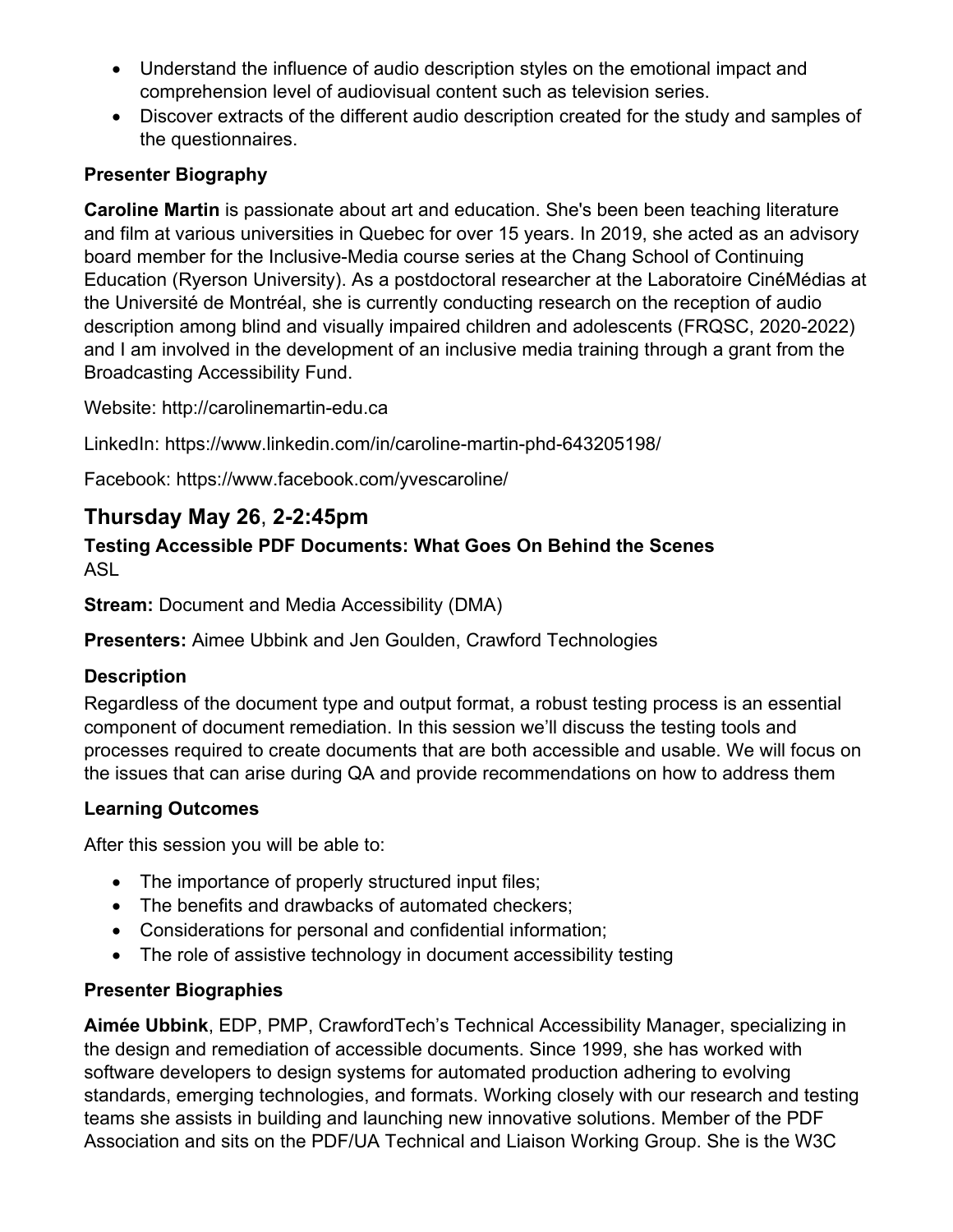- Understand the influence of audio description styles on the emotional impact and comprehension level of audiovisual content such as television series.
- Discover extracts of the different audio description created for the study and samples of the questionnaires.

#### **Presenter Biography**

**Caroline Martin** is passionate about art and education. She's been been teaching literature and film at various universities in Quebec for over 15 years. In 2019, she acted as an advisory board member for the Inclusive-Media course series at the Chang School of Continuing Education (Ryerson University). As a postdoctoral researcher at the Laboratoire CinéMédias at the Université de Montréal, she is currently conducting research on the reception of audio description among blind and visually impaired children and adolescents (FRQSC, 2020-2022) and I am involved in the development of an inclusive media training through a grant from the Broadcasting Accessibility Fund.

Website: http://carolinemartin-edu.ca

LinkedIn: https://www.linkedin.com/in/caroline-martin-phd-643205198/

Facebook: https://www.facebook.com/yvescaroline/

### **Thursday May 26**, **2-2:45pm**

#### **Testing Accessible PDF Documents: What Goes On Behind the Scenes** ASL

**Stream:** Document and Media Accessibility (DMA)

**Presenters:** Aimee Ubbink and Jen Goulden, Crawford Technologies

#### **Description**

Regardless of the document type and output format, a robust testing process is an essential component of document remediation. In this session we'll discuss the testing tools and processes required to create documents that are both accessible and usable. We will focus on the issues that can arise during QA and provide recommendations on how to address them

#### **Learning Outcomes**

After this session you will be able to:

- The importance of properly structured input files;
- The benefits and drawbacks of automated checkers;
- Considerations for personal and confidential information;
- The role of assistive technology in document accessibility testing

#### **Presenter Biographies**

**Aimée Ubbink**, EDP, PMP, CrawfordTech's Technical Accessibility Manager, specializing in the design and remediation of accessible documents. Since 1999, she has worked with software developers to design systems for automated production adhering to evolving standards, emerging technologies, and formats. Working closely with our research and testing teams she assists in building and launching new innovative solutions. Member of the PDF Association and sits on the PDF/UA Technical and Liaison Working Group. She is the W3C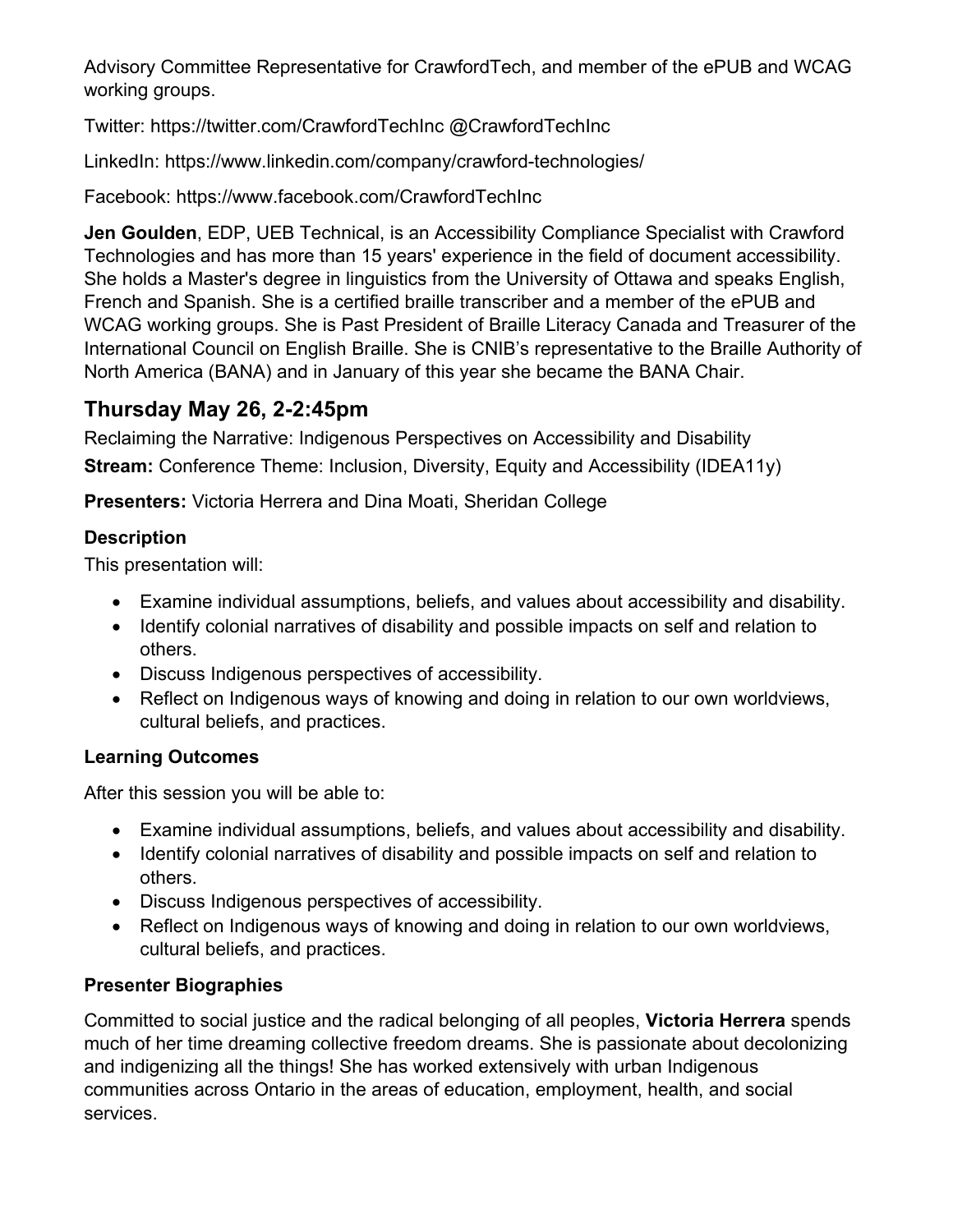Advisory Committee Representative for CrawfordTech, and member of the ePUB and WCAG working groups.

Twitter: https://twitter.com/CrawfordTechInc @CrawfordTechInc

LinkedIn: https://www.linkedin.com/company/crawford-technologies/

Facebook: https://www.facebook.com/CrawfordTechInc

**Jen Goulden**, EDP, UEB Technical, is an Accessibility Compliance Specialist with Crawford Technologies and has more than 15 years' experience in the field of document accessibility. She holds a Master's degree in linguistics from the University of Ottawa and speaks English, French and Spanish. She is a certified braille transcriber and a member of the ePUB and WCAG working groups. She is Past President of Braille Literacy Canada and Treasurer of the International Council on English Braille. She is CNIB's representative to the Braille Authority of North America (BANA) and in January of this year she became the BANA Chair.

### **Thursday May 26, 2-2:45pm**

Reclaiming the Narrative: Indigenous Perspectives on Accessibility and Disability **Stream:** Conference Theme: Inclusion, Diversity, Equity and Accessibility (IDEA11y)

**Presenters:** Victoria Herrera and Dina Moati, Sheridan College

#### **Description**

This presentation will:

- Examine individual assumptions, beliefs, and values about accessibility and disability.
- Identify colonial narratives of disability and possible impacts on self and relation to others.
- Discuss Indigenous perspectives of accessibility.
- Reflect on Indigenous ways of knowing and doing in relation to our own worldviews, cultural beliefs, and practices.

#### **Learning Outcomes**

After this session you will be able to:

- Examine individual assumptions, beliefs, and values about accessibility and disability.
- Identify colonial narratives of disability and possible impacts on self and relation to others.
- Discuss Indigenous perspectives of accessibility.
- Reflect on Indigenous ways of knowing and doing in relation to our own worldviews, cultural beliefs, and practices.

#### **Presenter Biographies**

Committed to social justice and the radical belonging of all peoples, **Victoria Herrera** spends much of her time dreaming collective freedom dreams. She is passionate about decolonizing and indigenizing all the things! She has worked extensively with urban Indigenous communities across Ontario in the areas of education, employment, health, and social services.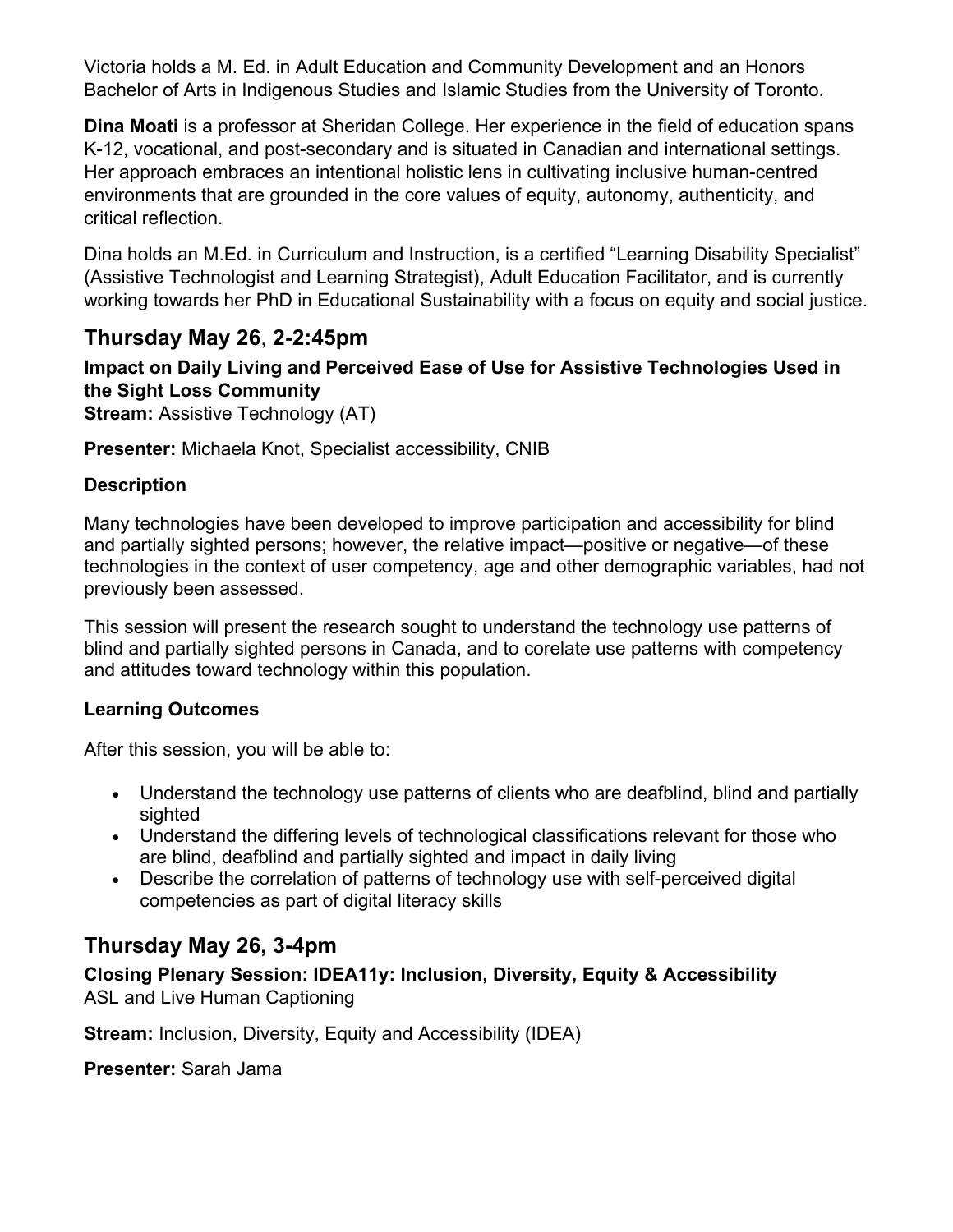Victoria holds a M. Ed. in Adult Education and Community Development and an Honors Bachelor of Arts in Indigenous Studies and Islamic Studies from the University of Toronto.

**Dina Moati** is a professor at Sheridan College. Her experience in the field of education spans K-12, vocational, and post-secondary and is situated in Canadian and international settings. Her approach embraces an intentional holistic lens in cultivating inclusive human-centred environments that are grounded in the core values of equity, autonomy, authenticity, and critical reflection.

Dina holds an M.Ed. in Curriculum and Instruction, is a certified "Learning Disability Specialist" (Assistive Technologist and Learning Strategist), Adult Education Facilitator, and is currently working towards her PhD in Educational Sustainability with a focus on equity and social justice.

### **Thursday May 26**, **2-2:45pm**

## **Impact on Daily Living and Perceived Ease of Use for Assistive Technologies Used in the Sight Loss Community**

**Stream: Assistive Technology (AT)** 

**Presenter:** Michaela Knot, Specialist accessibility, CNIB

#### **Description**

Many technologies have been developed to improve participation and accessibility for blind and partially sighted persons; however, the relative impact—positive or negative—of these technologies in the context of user competency, age and other demographic variables, had not previously been assessed.

This session will present the research sought to understand the technology use patterns of blind and partially sighted persons in Canada, and to corelate use patterns with competency and attitudes toward technology within this population.

#### **Learning Outcomes**

After this session, you will be able to:

- Understand the technology use patterns of clients who are deafblind, blind and partially sighted
- Understand the differing levels of technological classifications relevant for those who are blind, deafblind and partially sighted and impact in daily living
- Describe the correlation of patterns of technology use with self-perceived digital competencies as part of digital literacy skills

### **Thursday May 26, 3-4pm**

# **Closing Plenary Session: IDEA11y: Inclusion, Diversity, Equity & Accessibility**

ASL and Live Human Captioning

**Stream:** Inclusion, Diversity, Equity and Accessibility (IDEA)

**Presenter:** Sarah Jama